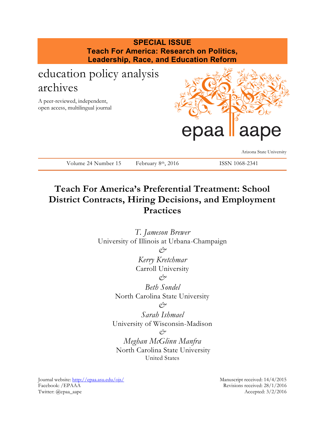

# **Teach For America's Preferential Treatment: School District Contracts, Hiring Decisions, and Employment Practices**

*T. Jameson Brewer* University of Illinois at Urbana-Champaign *& Kerry Kretchmar* Carroll University *& Beth Sondel* North Carolina State University *& Sarah Ishmael* University of Wisconsin-Madison *& Meghan McGlinn Manfra* North Carolina State University United States

Journal website:<http://epaa.asu.edu/ojs/> Manuscript received: 14/4/2015 Facebook: /EPAAA Revisions received: 28/1/2016 Twitter: @epaa\_aape Accepted: 3/2/2016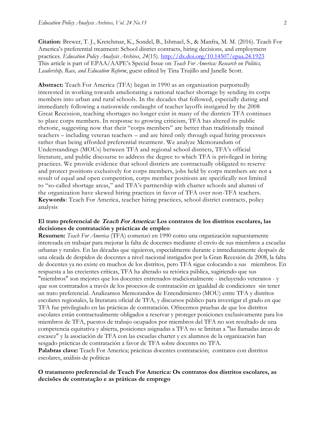**Citation**: Brewer, T. J., Kretchmar, K., Sondel, B., Ishmael, S., & Manfra, M. M. (2016). Teach For America's preferential treatment: School district contracts, hiring decisions, and employment practices. *Education Policy Analysis Archives, 24*(15). <http://dx.doi.org/10.14507/epaa.24.1923> This article is part of EPAA/AAPE's Special Issue on *Teach For America: Research on Politics, Leadership, Race, and Education Reform*, guest edited by Tina Trujillo and Janelle Scott.

**Abstract:** Teach For America (TFA) began in 1990 as an organization purportedly interested in working towards ameliorating a national teacher shortage by sending its corps members into urban and rural schools. In the decades that followed, especially during and immediately following a nationwide onslaught of teacher layoffs instigated by the 2008 Great Recession, teaching shortages no longer exist in many of the districts TFA continues to place corps members. In response to growing criticism, TFA has altered its public rhetoric, suggesting now that their "corps members" are better than traditionally trained teachers – including veteran teachers – and are hired only through equal hiring processes rather than being afforded preferential treatment. We analyze Memorandum of Understandings (MOUs) between TFA and regional school districts, TFA's official literature, and public discourse to address the degree to which TFA is privileged in hiring practices. We provide evidence that school districts are contractually obligated to reserve and protect positions exclusively for corps members, jobs held by corps members are not a result of equal and open competition, corps member positions are specifically not limited to "so-called shortage areas," and TFA's partnership with charter schools and alumni of the organization have skewed hiring practices in favor of TFA over non-TFA teachers. **Keywords**: Teach For America, teacher hiring practices, school district contracts, policy analysis

#### **El trato preferencial de Teach For America: Los contratos de los distritos escolares, las decisiones de contratación y prácticas de empleo**

**Resumen:** *Teach For America* (TFA) comenzó en 1990 como una organización supuestamente interesada en trabajar para mejorar la falta de docentes mediante el envío de sus miembros a escuelas urbanas y rurales. En las décadas que siguieron, especialmente durante e inmediatamente después de una oleada de despidos de docentes a nivel nacional instigados por la Gran Recesión de 2008, la falta de docentes ya no existe en muchos de los distritos, pero TFA sigue colocando a sus miembros. En respuesta a las crecientes críticas, TFA ha alterado su retórica pública, sugiriendo que sus "miembros" son mejores que los docentes entrenados tradicionalmente - incluyendo veteranos - y que son contratados a través de los procesos de contratación en igualdad de condiciones sin tener un trato preferencial. Analizamos Memorandos de Entendimiento (MOU) entre TFA y distritos escolares regionales, la literatura oficial de TFA, y discursos público para investigar el grado en que TFA fue privilegiado en las prácticas de contratación. Ofrecemos pruebas de que los distritos escolares están contractualmente obligados a reservar y proteger posiciones exclusivamente para los miembros de TFA, puestos de trabajo ocupados por miembros del TFA no son resultado de una competencia equitativa y abierta, posiciones asignadas a TFA no se limitan a "las llamadas áreas de escasez" y la asociación de TFA con las escuelas charter y ex alumnos de la organización han sesgado prácticas de contratación a favor de TFA sobre docentes no TFA. **Palabras clave:** Teach For America; prácticas docentes contratación; contratos con distritos

escolares, análisis de políticas

## **O tratamento preferencial de Teach For America: Os contratos dos distritos escolares, as decisões de contratação e as práticas de emprego**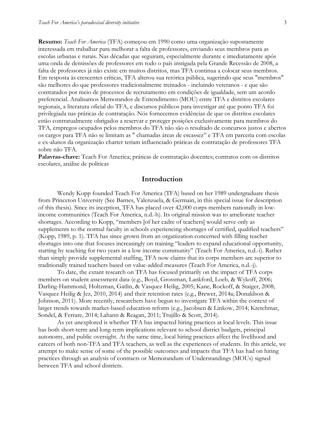**Resumo:** *Teach For America* (TFA) começou em 1990 como uma organização supostamente interessada em trabalhar para melhorar a falta de professores, enviando seus membros para as escolas urbanas e rurais. Nas décadas que seguiram, especialmente durante e imediatamente após uma onda de demissões de professores em todo o país instigada pela Grande Recessão de 2008, a falta de professores já não existe em muitos distritos, mas TFA continua a colocar seus membros. Em resposta às crescentes críticas, TFA alterou sua retórica pública, sugerindo que seus "membros" são melhores do que professores tradicionalmente treinados - incluindo veteranos - e que são contratados por meio de processos de recrutamento em condições de igualdade, sem um acordo preferencial. Analisamos Memorandos de Entendimento (MOU) entre TFA e distritos escolares regionais, a literatura oficial do TFA, e discursos públicos para investigar até que ponto TFA foi privilegiada nas práticas de contratação. Nós fornecemos evidências de que os distritos escolares estão contratualmente obrigados a reservar e proteger posições exclusivamente para membros do TFA, empregos ocupados pelos membros do TFA não são o resultado de concursos justos e abertos os cargos para TFA não se limitam as " chamadas áreas de escassez" e TFA em parceria com escolas e ex-alunos da organização charter teriam influenciado práticas de contratação de professores TFA sobre não TFA.

**Palavras-chave:** Teach For America; práticas de contratação docentes; contratos com os distritos escolares, análise de políticas

## **Introduction**

Wendy Kopp founded Teach For America (TFA) based on her 1989 undergraduate thesis from Princeton University (See Barnes, Valenzuela, & Germain, in this special issue for description of this thesis). Since its inception, TFA has placed over 42,000 corps members nationally in lowincome communities (Teach For America, n.d.-h). Its original mission was to ameliorate teacher shortages. According to Kopp, "members [of her cadre of teachers] would serve only as supplements to the normal faculty in schools experiencing shortages of certified, qualified teachers" (Kopp, 1989, p. 1). TFA has since grown from an organization concerned with filling teacher shortages into one that focuses increasingly on training "leaders to expand educational opportunity, starting by teaching for two years in a low income community" (Teach For America, n.d.-i). Rather than simply provide supplemental staffing, TFA now claims that its corps members are superior to traditionally trained teachers based on value-added measures (Teach For America, n.d.-j).

To date, the extant research on TFA has focused primarily on the impact of TFA corps members on student assessment data (e.g., Boyd, Grossman, Lankford, Loeb, & Wykoff, 2006; Darling-Hammond, Holtzman, Gatlin, & Vasquez Heilig, 2005; Kane, Rockoff, & Staiger, 2008; Vasquez Heilig & Jez, 2010, 2014) and their retention rates (e.g., Brewer, 2014a; Donaldson & Johnson, 2011). More recently, researchers have begun to investigate TFA within the context of larger trends towards market-based education reform (e.g., Jacobsen & Linkow, 2014; Kretchmar, Sondel, & Ferrare, 2014; Lahann & Reagan, 2011; Trujillo & Scott, 2014).

As yet unexplored is whether TFA has impacted hiring practices at local levels. This issue has both short-term and long-term implications relevant to school district budgets, principal autonomy, and public oversight. At the same time, local hiring practices affect the livelihood and careers of both non-TFA and TFA teachers, as well as the experiences of students. In this article, we attempt to make sense of some of the possible outcomes and impacts that TFA has had on hiring practices through an analysis of contracts or Memorandum of Understandings (MOUs) signed between TFA and school districts.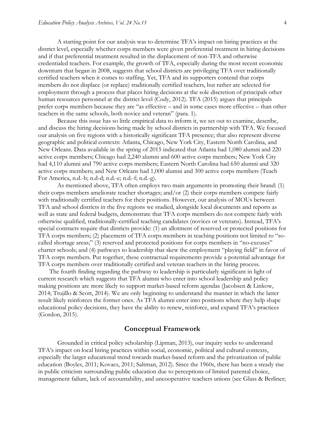A starting point for our analysis was to determine TFA's impact on hiring practices at the district level, especially whether corps members were given preferential treatment in hiring decisions and if that preferential treatment resulted in the displacement of non-TFA and otherwise credentialed teachers. For example, the growth of TFA, especially during the most recent economic downturn that began in 2008, suggests that school districts are privileging TFA over traditionally certified teachers when it comes to staffing. Yet, TFA and its supporters contend that corps members do not displace (or replace) traditionally certified teachers, but rather are selected for employment through a process that places hiring decisions at the sole discretion of principals other human resources personnel at the district level (Cody, 2012). TFA (2015) argues that principals prefer corps members because they are "as effective – and in some cases more effective – than other teachers in the same schools, both novice and veteran" (para. 1).

Because this issue has so little empirical data to inform it, we set out to examine, describe, and discuss the hiring decisions being made by school districts in partnership with TFA. We focused our analysis on five regions with a historically significant TFA presence; that also represent diverse geographic and political contexts: Atlanta, Chicago, New York City, Eastern North Carolina, and New Orleans. Data available in the spring of 2015 indicated that Atlanta had 1,080 alumni and 220 active corps members; Chicago had 2,240 alumni and 600 active corps members; New York City had 4,110 alumni and 790 active corps members; Eastern North Carolina had 650 alumni and 320 active corps members; and New Orleans had 1,000 alumni and 300 active corps members (Teach For America, n.d.-b; n.d-d; n.d.-e; n.d.-f; n.d.-g).

As mentioned above, TFA often employs two main arguments in promoting their brand: (1) their corps members ameliorate teacher shortages; and/or (2) their corps members compete fairly with traditionally certified teachers for their positions. However, our analysis of MOUs between TFA and school districts in the five regions we studied, alongside local documents and reports as well as state and federal budgets, demonstrate that TFA corps members do not compete fairly with otherwise qualified, traditionally-certified teaching candidates (novices or veterans). Instead, TFA's special contracts require that districts provide: (1) an allotment of reserved or protected positions for TFA corps members; (2) placement of TFA corps members in teaching positions not limited to "socalled shortage areas;" (3) reserved and protected positions for corps members in "no-excuses" charter schools; and (4) pathways to leadership that skew the employment "playing field" in favor of TFA corps members. Put together, these contractual requirements provide a potential advantage for TFA corps members over traditionally certified and veteran teachers in the hiring process.

The fourth finding regarding the pathway to leadership is particularly significant in light of current research which suggests that TFA alumni who enter into school leadership and policy making positions are more likely to support market-based reform agendas (Jacobsen & Linkow, 2014; Trujillo & Scott, 2014). We are only beginning to understand the manner in which the latter result likely reinforces the former ones. As TFA alumni enter into positions where they help shape educational policy decisions, they have the ability to renew, reinforce, and expand TFA's practices (Gordon, 2015).

## **Conceptual Framework**

Grounded in critical policy scholarship (Lipman, 2013), our inquiry seeks to understand TFA's impact on local hiring practices within social, economic, political and cultural contexts, especially the larger educational trend towards market-based reform and the privatization of public education (Boyles, 2011; Kovacs, 2011; Saltman, 2012). Since the 1960s, there has been a steady rise in public criticism surrounding public education due to perceptions of limited parental choice, management failure, lack of accountability, and uncooperative teachers unions (see Glass & Berliner;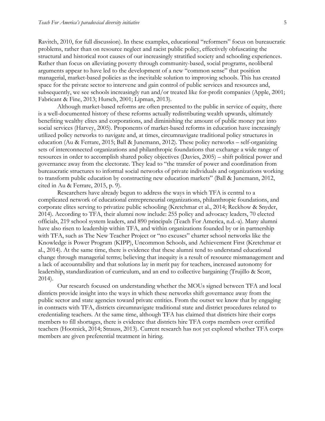Ravitch, 2010, for full discussion). In these examples, educational "reformers" focus on bureaucratic problems, rather than on resource neglect and racist public policy, effectively obfuscating the structural and historical root causes of our increasingly stratified society and schooling experiences. Rather than focus on alleviating poverty through community-based, social programs, neoliberal arguments appear to have led to the development of a new "common sense" that position managerial, market-based policies as the inevitable solution to improving schools. This has created space for the private sector to intervene and gain control of public services and resources and, subsequently, we see schools increasingly run and/or treated like for-profit companies (Apple, 2001; Fabricant & Fine, 2013; Hursch, 2001; Lipman, 2013).

Although market-based reforms are often presented to the public in service of equity, there is a well-documented history of these reforms actually redistributing wealth upwards, ultimately benefiting wealthy elites and corporations, and diminishing the amount of public money put into social services (Harvey, 2005). Proponents of market-based reforms in education have increasingly utilized policy networks to navigate and, at times, circumnavigate traditional policy structures in education (Au & Ferrare, 2015; Ball & Junemann, 2012). These policy networks – self-organizing sets of interconnected organizations and philanthropic foundations that exchange a wide range of resources in order to accomplish shared policy objectives (Davies, 2005) – shift political power and governance away from the electorate. They lead to "the transfer of power and coordination from bureaucratic structures to informal social networks of private individuals and organizations working to transform public education by constructing new education markets" (Ball & Junemann, 2012, cited in Au & Ferrare, 2015, p. 9).

Researchers have already begun to address the ways in which TFA is central to a complicated network of educational entrepreneurial organizations, philanthropic foundations, and corporate elites serving to privatize public schooling (Kretchmar et al., 2014; Reckhow & Snyder, 2014). According to TFA, their alumni now include: 255 policy and advocacy leaders, 70 elected officials, 219 school system leaders, and 890 principals (Teach For America, n.d.-a). Many alumni have also risen to leadership within TFA, and within organizations founded by or in partnership with TFA, such as The New Teacher Project or "no excuses" charter school networks like the Knowledge is Power Program (KIPP), Uncommon Schools, and Achievement First (Kretchmar et al., 2014). At the same time, there is evidence that these alumni tend to understand educational change through managerial terms; believing that inequity is a result of resource mismanagement and a lack of accountability and that solutions lay in merit pay for teachers, increased autonomy for leadership, standardization of curriculum, and an end to collective bargaining (Trujillo & Scott, 2014).

Our research focused on understanding whether the MOUs signed between TFA and local districts provide insight into the ways in which these networks shift governance away from the public sector and state agencies toward private entities. From the outset we know that by engaging in contracts with TFA, districts circumnavigate traditional state and district procedures related to credentialing teachers. At the same time, although TFA has claimed that districts hire their corps members to fill shortages, there is evidence that districts hire TFA corps members over certified teachers (Hootnick, 2014; Strauss, 2013). Current research has not yet explored whether TFA corps members are given preferential treatment in hiring.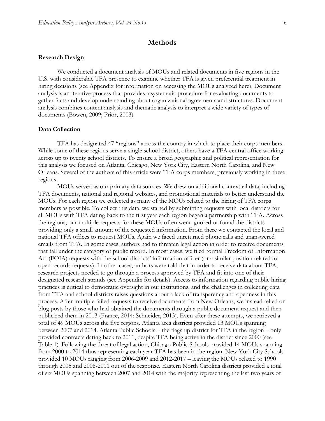## **Methods**

#### **Research Design**

We conducted a document analysis of MOUs and related documents in five regions in the U.S. with considerable TFA presence to examine whether TFA is given preferential treatment in hiring decisions (see Appendix for information on accessing the MOUs analyzed here). Document analysis is an iterative process that provides a systematic procedure for evaluating documents to gather facts and develop understanding about organizational agreements and structures. Document analysis combines content analysis and thematic analysis to interpret a wide variety of types of documents (Bowen, 2009; Prior, 2003).

#### **Data Collection**

TFA has designated 47 "regions" across the country in which to place their corps members. While some of these regions serve a single school district, others have a TFA central office working across up to twenty school districts. To ensure a broad geographic and political representation for this analysis we focused on Atlanta, Chicago, New York City, Eastern North Carolina, and New Orleans. Several of the authors of this article were TFA corps members, previously working in these regions.

MOUs served as our primary data sources. We drew on additional contextual data, including TFA documents, national and regional websites, and promotional materials to better understand the MOUs. For each region we collected as many of the MOUs related to the hiring of TFA corps members as possible. To collect this data, we started by submitting requests with local districts for all MOUs with TFA dating back to the first year each region began a partnership with TFA. Across the regions, our multiple requests for these MOUs often went ignored or found the districts providing only a small amount of the requested information. From there we contacted the local and national TFA offices to request MOUs. Again we faced unreturned phone calls and unanswered emails from TFA. In some cases, authors had to threaten legal action in order to receive documents that fall under the category of public record. In most cases, we filed formal Freedom of Information Act (FOIA) requests with the school districts' information officer (or a similar position related to open records requests). In other cases, authors were told that in order to receive data about TFA, research projects needed to go through a process approved by TFA and fit into one of their designated research strands (see Appendix for details). Access to information regarding public hiring practices is critical to democratic oversight in our institutions, and the challenges in collecting data from TFA and school districts raises questions about a lack of transparency and openness in this process. After multiple failed requests to receive documents from New Orleans, we instead relied on blog posts by those who had obtained the documents through a public document request and then publicized them in 2013 (France, 2014; Schneider, 2013). Even after these attempts, we retrieved a total of 49 MOUs across the five regions. Atlanta area districts provided 13 MOUs spanning between 2007 and 2014. Atlanta Public Schools – the flagship district for TFA in the region – only provided contracts dating back to 2011, despite TFA being active in the district since 2000 (see Table 1). Following the threat of legal action, Chicago Public Schools provided 14 MOUs spanning from 2000 to 2014 thus representing each year TFA has been in the region. New York City Schools provided 10 MOUs ranging from 2006-2009 and 2012-2017 – leaving the MOUs related to 1990 through 2005 and 2008-2011 out of the response. Eastern North Carolina districts provided a total of six MOUs spanning between 2007 and 2014 with the majority representing the last two years of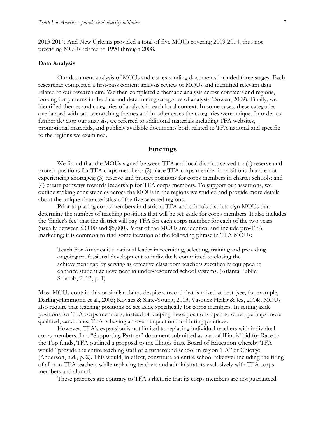2013-2014. And New Orleans provided a total of five MOUs covering 2009-2014, thus not providing MOUs related to 1990 through 2008.

#### **Data Analysis**

Our document analysis of MOUs and corresponding documents included three stages. Each researcher completed a first-pass content analysis review of MOUs and identified relevant data related to our research aim. We then completed a thematic analysis across contracts and regions, looking for patterns in the data and determining categories of analysis (Bowen, 2009). Finally, we identified themes and categories of analysis in each local context. In some cases, these categories overlapped with our overarching themes and in other cases the categories were unique. In order to further develop our analysis, we referred to additional materials including TFA websites, promotional materials, and publicly available documents both related to TFA national and specific to the regions we examined.

## **Findings**

We found that the MOUs signed between TFA and local districts served to: (1) reserve and protect positions for TFA corps members; (2) place TFA corps member in positions that are not experiencing shortages; (3) reserve and protect positions for corps members in charter schools; and (4) create pathways towards leadership for TFA corps members. To support our assertions, we outline striking consistencies across the MOUs in the regions we studied and provide more details about the unique characteristics of the five selected regions.

Prior to placing corps members in districts, TFA and schools districts sign MOUs that determine the number of teaching positions that will be set-aside for corps members. It also includes the 'finder's fee' that the district will pay TFA for each corps member for each of the two years (usually between \$3,000 and \$5,000). Most of the MOUs are identical and include pro-TFA marketing; it is common to find some iteration of the following phrase in TFA MOUs:

Teach For America is a national leader in recruiting, selecting, training and providing ongoing professional development to individuals committed to closing the achievement gap by serving as effective classroom teachers specifically equipped to enhance student achievement in under-resourced school systems. (Atlanta Public Schools, 2012, p. 1)

Most MOUs contain this or similar claims despite a record that is mixed at best (see, for example, Darling-Hammond et al., 2005; Kovacs & Slate-Young, 2013; Vasquez Heilig & Jez, 2014). MOUs also require that teaching positions be set aside specifically for corps members. In setting aside positions for TFA corps members, instead of keeping these positions open to other, perhaps more qualified, candidates, TFA is having an overt impact on local hiring practices.

However, TFA's expansion is not limited to replacing individual teachers with individual corps members. In a "Supporting Partner" document submitted as part of Illinois' bid for Race to the Top funds, TFA outlined a proposal to the Illinois State Board of Education whereby TFA would "provide the entire teaching staff of a turnaround school in region 1-A" of Chicago (Anderson, n.d., p. 2). This would, in effect, constitute an entire school takeover including the firing of all non-TFA teachers while replacing teachers and administrators exclusively with TFA corps members and alumni.

These practices are contrary to TFA's rhetoric that its corps members are not guaranteed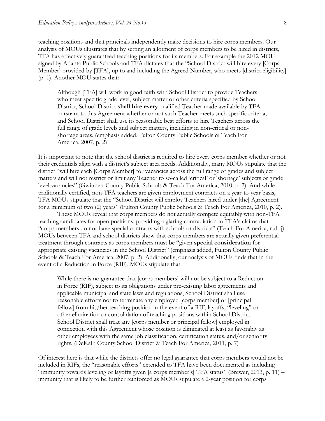teaching positions and that principals independently make decisions to hire corps members. Our analysis of MOUs illustrates that by setting an allotment of corps members to be hired in districts, TFA has effectively guaranteed teaching positions for its members. For example the 2012 MOU signed by Atlanta Public Schools and TFA dictates that the "School District will hire every [Corps Member] provided by [TFA], up to and including the Agreed Number, who meets [district eligibility] (p. 1). Another MOU states that:

Although [TFA] will work in good faith with School District to provide Teachers who meet specific grade level, subject matter or other criteria specified by School District, School District **shall hire every** qualified Teacher made available by TFA pursuant to this Agreement whether or not such Teacher meets such specific criteria, and School District shall use its reasonable best efforts to hire Teachers across the full range of grade levels and subject matters, including in non-critical or nonshortage areas. (emphasis added, Fulton County Public Schools & Teach For America, 2007, p. 2)

It is important to note that the school district is required to hire every corps member whether or not their credentials align with a district's subject area needs. Additionally, many MOUs stipulate that the district "will hire each [Corps Member] for vacancies across the full range of grades and subject matters and will not restrict or limit any Teacher to so-called 'critical' or 'shortage' subjects or grade level vacancies" (Gwinnett County Public Schools & Teach For America, 2010, p. 2). And while traditionally certified, non-TFA teachers are given employment contracts on a year-to-year basis, TFA MOUs stipulate that the "School District will employ Teachers hired under [the] Agreement for a minimum of two (2) years" (Fulton County Public Schools & Teach For America, 2010, p. 2).

These MOUs reveal that corps members do not actually compete equitably with non-TFA teaching candidates for open positions, providing a glaring contradiction to TFA's claims that "corps members do not have special contracts with schools or districts" (Teach For America, n.d.-j). MOUs between TFA and school districts show that corps members are actually given preferential treatment through contracts as corps members must be "given **special consideration** for appropriate existing vacancies in the School District" (emphasis added, Fulton County Public Schools & Teach For America, 2007, p. 2). Additionally, our analysis of MOUs finds that in the event of a Reduction in Force (RIF), MOUs stipulate that:

While there is no guarantee that [corps members] will not be subject to a Reduction in Force (RIF), subject to its obligations under pre-existing labor agreements and applicable municipal and state laws and regulations, School District shall use reasonable efforts not to terminate any employed [corps member] or [principal fellow] from his/her teaching position in the event of a RIF, layoffs, "leveling" or other elimination or consolidation of teaching positions within School District. School District shall treat any [corps member or principal fellow] employed in connection with this Agreement whose position is eliminated at least as favorably as other employees with the same job classification, certification status, and/or seniority rights. (DeKalb County School District & Teach For America, 2011, p. 7)

Of interest here is that while the districts offer no legal guarantee that corps members would not be included in RIFs, the "reasonable efforts" extended to TFA have been documented as including "immunity towards leveling or layoffs given [a corps member's] TFA status" (Brewer, 2013, p. 11) – immunity that is likely to be further reinforced as MOUs stipulate a 2-year position for corps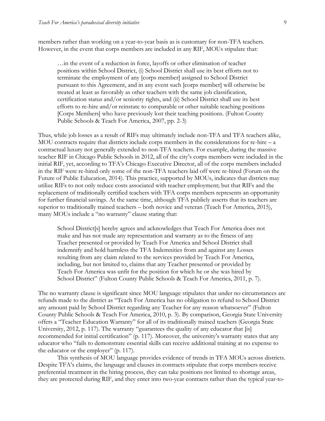members rather than working on a year-to-year basis as is customary for non-TFA teachers. However, in the event that corps members are included in any RIF, MOUs stipulate that:

…in the event of a reduction in force, layoffs or other elimination of teacher positions within School District, (i) School District shall use its best efforts not to terminate the employment of any [corps member] assigned to School District pursuant to this Agreement, and in any event such [corps member] will otherwise be treated at least as favorably as other teachers with the same job classification, certification status and/or seniority rights, and (ii) School District shall use its best efforts to re-hire and/or reinstate to comparable or other suitable teaching positions [Corps Members] who have previously lost their teaching positions. (Fulton County Public Schools & Teach For America, 2007, pp. 2-3)

Thus, while job losses as a result of RIFs may ultimately include non-TFA and TFA teachers alike, MOU contracts require that districts include corps members in the considerations for re-hire – a contractual luxury not generally extended to non-TFA teachers. For example, during the massive teacher RIF in Chicago Public Schools in 2012, all of the city's corps members were included in the initial RIF, yet, according to TFA's Chicago Executive Director, all of the corps members included in the RIF were re-hired only some of the non-TFA teachers laid off were re-hired (Forum on the Future of Public Education, 2014). This practice, supported by MOUs, indicates that districts may utilize RIFs to not only reduce costs associated with teacher employment; but that RIFs and the replacement of traditionally certified teachers with TFA corps members represents an opportunity for further financial savings. At the same time, although TFA publicly asserts that its teachers are superior to traditionally trained teachers – both novice and veteran (Teach For America, 2015), many MOUs include a "no warranty" clause stating that:

School District[s] hereby agrees and acknowledges that Teach For America does not make and has not made any representation and warranty as to the fitness of any Teacher presented or provided by Teach For America and School District shall indemnify and hold harmless the TFA Indemnities from and against any Losses resulting from any claim related to the services provided by Teach For America, including, but not limited to, claims that any Teacher presented or provided by Teach For America was unfit for the position for which he or she was hired by School District" (Fulton County Public Schools & Teach For America, 2011, p. 7).

The no warranty clause is significant since MOU language stipulates that under no circumstances are refunds made to the district as "Teach For America has no obligation to refund to School District any amount paid by School District regarding any Teacher for any reason whatsoever" (Fulton County Public Schools & Teach For America, 2010, p. 3). By comparison, Georgia State University offers a "Teacher Education Warranty" for all of its traditionally trained teachers (Georgia State University, 2012, p. 117). The warranty "guarantees the quality of any educator that [is] recommended for initial certification" (p. 117). Moreover, the university's warranty states that any educator who "fails to demonstrate essential skills can receive additional training at no expense to the educator or the employer" (p. 117).

This synthesis of MOU language provides evidence of trends in TFA MOUs across districts. Despite TFA's claims, the language and clauses in contracts stipulate that corps members receive preferential treatment in the hiring process, they can take positions not limited to shortage areas, they are protected during RIF, and they enter into two-year contracts rather than the typical year-to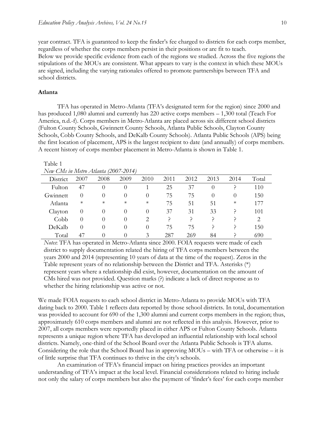year contract. TFA is guaranteed to keep the finder's fee charged to districts for each corps member, regardless of whether the corps members persist in their positions or are fit to teach. Below we provide specific evidence from each of the regions we studied. Across the five regions the stipulations of the MOUs are consistent. What appears to vary is the context in which these MOUs are signed, including the varying rationales offered to promote partnerships between TFA and school districts.

#### **Atlanta**

TFA has operated in Metro-Atlanta (TFA's designated term for the region) since 2000 and has produced 1,080 alumni and currently has 220 active corps members – 1,300 total (Teach For America, n.d.-f). Corps members in Metro-Atlanta are placed across six different school districts (Fulton County Schools, Gwinnett County Schools, Atlanta Public Schools, Clayton County Schools, Cobb County Schools, and DeKalb County Schools). Atlanta Public Schools (APS) being the first location of placement, APS is the largest recipient to date (and annually) of corps members. A recent history of corps member placement in Metro-Atlanta is shown in Table 1.

#### Table 1 *New CMs in Metro Atlanta (2007-2014)*

| INew CMs in Metro Atlanta (2007-2014) |                  |          |                  |                               |      |      |          |          |                             |  |
|---------------------------------------|------------------|----------|------------------|-------------------------------|------|------|----------|----------|-----------------------------|--|
| District                              | 2007             | 2008     | 2009             | 2010                          | 2011 | 2012 | 2013     | 2014     | Total                       |  |
| Fulton                                | 47               | $\theta$ | $\theta$         |                               | 25   | 37   | 0        |          | 110                         |  |
| Gwinnett                              | 0                | $\theta$ | $\theta$         | $\theta$                      | 75   | 75   | $\theta$ | $\theta$ | 150                         |  |
| Atlanta                               | $\ast$           | $\ast$   | $\ast$           | $\ast$                        | 75   | 51   | 51       | $\ast$   | 177                         |  |
| Clayton                               | $\theta$         | $\Omega$ | $\theta$         | $\theta$                      | 37   | 31   | 33       |          | 101                         |  |
| Cobb                                  | $\left( \right)$ | $\Omega$ | $\Omega$         | $\mathfrak{D}_{\mathfrak{p}}$ |      |      | ر        |          | $\mathcal{D}_{\mathcal{L}}$ |  |
| DeKalb                                | $\left( \right)$ | $\Omega$ | $\theta$         | $\theta$                      | 75   | 75   |          |          | 150                         |  |
| Total                                 | 47               | $\theta$ | $\left( \right)$ | 3                             | 287  | 269  | 84       |          | 690                         |  |

*Notes*: TFA has operated in Metro-Atlanta since 2000. FOIA requests were made of each district to supply documentation related the hiring of TFA corps members between the years 2000 and 2014 (representing 10 years of data at the time of the request). Zeros in the Table represent years of no relationship between the District and TFA. Asterisks (\*) represent years where a relationship did exist, however, documentation on the amount of CMs hired was not provided. Question marks (?) indicate a lack of direct response as to whether the hiring relationship was active or not.

We made FOIA requests to each school district in Metro-Atlanta to provide MOUs with TFA dating back to 2000. Table 1 reflects data reported by those school districts. In total, documentation was provided to account for 690 of the 1,300 alumni and current corps members in the region; thus, approximately 610 corps members and alumni are not reflected in this analysis. However, prior to 2007, all corps members were reportedly placed in either APS or Fulton County Schools. Atlanta represents a unique region where TFA has developed an influential relationship with local school districts. Namely, one-third of the School Board over the Atlanta Public Schools is TFA alums. Considering the role that the School Board has in approving MOUs – with TFA or otherwise – it is of little surprise that TFA continues to thrive in the city's schools.

An examination of TFA's financial impact on hiring practices provides an important understanding of TFA's impact at the local level. Financial considerations related to hiring include not only the salary of corps members but also the payment of 'finder's fees' for each corps member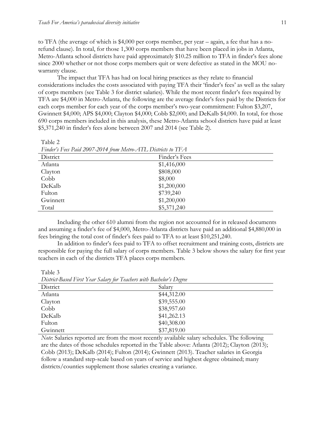Table 2

to TFA (the average of which is \$4,000 per corps member, per year – again, a fee that has a norefund clause). In total, for those 1,300 corps members that have been placed in jobs in Atlanta, Metro-Atlanta school districts have paid approximately \$10.25 million to TFA in finder's fees alone since 2000 whether or not those corps members quit or were defective as stated in the MOU nowarranty clause.

The impact that TFA has had on local hiring practices as they relate to financial considerations includes the costs associated with paying TFA their 'finder's fees' as well as the salary of corps members (see Table 3 for district salaries). While the most recent finder's fees required by TFA are \$4,000 in Metro-Atlanta, the following are the average finder's fees paid by the Districts for each corps member for each year of the corps member's two-year commitment: Fulton \$3,207, Gwinnett \$4,000; APS \$4,000; Clayton \$4,000; Cobb \$2,000; and DeKalb \$4,000. In total, for those 690 corps members included in this analysis, these Metro-Atlanta school districts have paid at least \$5,371,240 in finder's fees alone between 2007 and 2014 (see Table 2).

| Finder's Fees Paid 200/-2014 from Metro-AIL Districts to $\text{IFA}$ |               |  |  |  |
|-----------------------------------------------------------------------|---------------|--|--|--|
| District                                                              | Finder's Fees |  |  |  |
| Atlanta                                                               | \$1,416,000   |  |  |  |
| Clayton                                                               | \$808,000     |  |  |  |
| Cobb                                                                  | \$8,000       |  |  |  |
| DeKalb                                                                | \$1,200,000   |  |  |  |
| Fulton                                                                | \$739,240     |  |  |  |
| Gwinnett                                                              | \$1,200,000   |  |  |  |
| Total                                                                 | \$5,371,240   |  |  |  |

*Finder's Fees Paid 2007-2014 from Metro-ATL Districts to TFA*

Including the other 610 alumni from the region not accounted for in released documents and assuming a finder's fee of \$4,000, Metro-Atlanta districts have paid an additional \$4,880,000 in fees bringing the total cost of finder's fees paid to TFA to at least \$10,251,240.

In addition to finder's fees paid to TFA to offset recruitment and training costs, districts are responsible for paying the full salary of corps members. Table 3 below shows the salary for first year teachers in each of the districts TFA places corps members.

*District-Based First Year Salary for Teachers with Bachelor's Degree* District Salary Atlanta \$44,312.00 Clayton \$39,555.00 Cobb \$38,957.60 DeKalb \$41,262.13 Fulton \$40,308.00 Gwinnett \$37,819.00

Table 3

*Note*: Salaries reported are from the most recently available salary schedules. The following are the dates of those schedules reported in the Table above: Atlanta (2012); Clayton (2013); Cobb (2013); DeKalb (2014); Fulton (2014); Gwinnett (2013). Teacher salaries in Georgia follow a standard step-scale based on years of service and highest degree obtained; many districts/counties supplement those salaries creating a variance.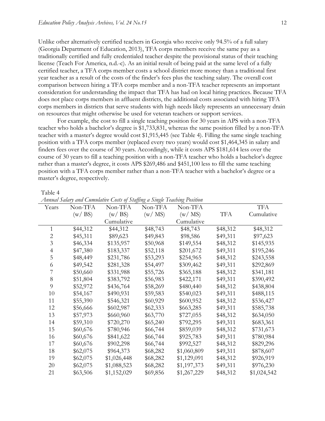Unlike other alternatively certified teachers in Georgia who receive only 94.5% of a full salary (Georgia Department of Education, 2013), TFA corps members receive the same pay as a traditionally certified and fully credentialed teacher despite the provisional status of their teaching license (Teach For America, n.d.-c). As an initial result of being paid at the same level of a fully certified teacher, a TFA corps member costs a school district more money than a traditional first year teacher as a result of the costs of the finder's fees plus the teaching salary. The overall cost comparison between hiring a TFA corps member and a non-TFA teacher represents an important consideration for understanding the impact that TFA has had on local hiring practices. Because TFA does not place corps members in affluent districts, the additional costs associated with hiring TFA corps members in districts that serve students with high needs likely represents an unnecessary drain on resources that might otherwise be used for veteran teachers or support services.

For example, the cost to fill a single teaching position for 30 years in APS with a non-TFA teacher who holds a bachelor's degree is \$1,733,831, whereas the same position filled by a non-TFA teacher with a master's degree would cost \$1,915,445 (see Table 4). Filling the same single teaching position with a TFA corps member (replaced every two years) would cost \$1,464,345 in salary and finders fees over the course of 30 years. Accordingly, while it costs APS \$181,614 less over the course of 30 years to fill a teaching position with a non-TFA teacher who holds a bachelor's degree rather than a master's degree, it costs APS \$269,486 and \$451,100 less to fill the same teaching position with a TFA corps member rather than a non-TFA teacher with a bachelor's degree or a master's degree, respectively.

Table 4

| Years          | Non-TFA  | Non-TFA     | Non-TFA  | Non-TFA     |            | <b>TFA</b>  |
|----------------|----------|-------------|----------|-------------|------------|-------------|
|                | (w/BS)   | (w / BS)    | (w/MS)   | (w/MS)      | <b>TFA</b> | Cumulative  |
|                |          | Cumulative  |          | Cumulative  |            |             |
| 1              | \$44,312 | \$44,312    | \$48,743 | \$48,743    | \$48,312   | \$48,312    |
| $\overline{c}$ | \$45,311 | \$89,623    | \$49,843 | \$98,586    | \$49,311   | \$97,623    |
| 3              | \$46,334 | \$135,957   | \$50,968 | \$149,554   | \$48,312   | \$145,935   |
| $\overline{4}$ | \$47,380 | \$183,337   | \$52,118 | \$201,672   | \$49,311   | \$195,246   |
| 5              | \$48,449 | \$231,786   | \$53,293 | \$254,965   | \$48,312   | \$243,558   |
| 6              | \$49,542 | \$281,328   | \$54,497 | \$309,462   | \$49,311   | \$292,869   |
| 7              | \$50,660 | \$331,988   | \$55,726 | \$365,188   | \$48,312   | \$341,181   |
| $8\,$          | \$51,804 | \$383,792   | \$56,983 | \$422,171   | \$49,311   | \$390,492   |
| 9              | \$52,972 | \$436,764   | \$58,269 | \$480,440   | \$48,312   | \$438,804   |
| 10             | \$54,167 | \$490,931   | \$59,583 | \$540,023   | \$49,311   | \$488,115   |
| 11             | \$55,390 | \$546,321   | \$60,929 | \$600,952   | \$48,312   | \$536,427   |
| 12             | \$56,666 | \$602,987   | \$62,333 | \$663,285   | \$49,311   | \$585,738   |
| 13             | \$57,973 | \$660,960   | \$63,770 | \$727,055   | \$48,312   | \$634,050   |
| 14             | \$59,310 | \$720,270   | \$65,240 | \$792,295   | \$49,311   | \$683,361   |
| 15             | \$60,676 | \$780,946   | \$66,744 | \$859,039   | \$48,312   | \$731,673   |
| 16             | \$60,676 | \$841,622   | \$66,744 | \$925,783   | \$49,311   | \$780,984   |
| 17             | \$60,676 | \$902,298   | \$66,744 | \$992,527   | \$48,312   | \$829,296   |
| 18             | \$62,075 | \$964,373   | \$68,282 | \$1,060,809 | \$49,311   | \$878,607   |
| 19             | \$62,075 | \$1,026,448 | \$68,282 | \$1,129,091 | \$48,312   | \$926,919   |
| 20             | \$62,075 | \$1,088,523 | \$68,282 | \$1,197,373 | \$49,311   | \$976,230   |
| 21             | \$63,506 | \$1,152,029 | \$69,856 | \$1,267,229 | \$48,312   | \$1,024,542 |

*Annual Salary and Cumulative Costs of Staffing a Single Teaching Position*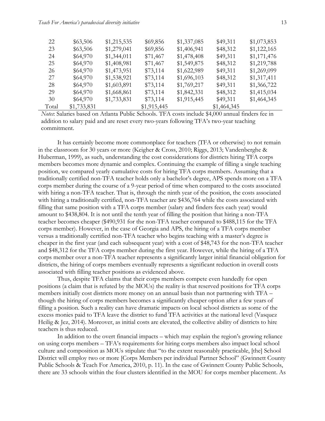| 22    | \$63,506    | \$1,215,535 | \$69,856    | \$1,337,085 | \$49,311    | \$1,073,853 |
|-------|-------------|-------------|-------------|-------------|-------------|-------------|
| 23    | \$63,506    | \$1,279,041 | \$69,856    | \$1,406,941 | \$48,312    | \$1,122,165 |
| 24    | \$64,970    | \$1,344,011 | \$71,467    | \$1,478,408 | \$49,311    | \$1,171,476 |
| 25    | \$64,970    | \$1,408,981 | \$71,467    | \$1,549,875 | \$48,312    | \$1,219,788 |
| 26    | \$64,970    | \$1,473,951 | \$73,114    | \$1,622,989 | \$49,311    | \$1,269,099 |
| 27    | \$64,970    | \$1,538,921 | \$73,114    | \$1,696,103 | \$48,312    | \$1,317,411 |
| 28    | \$64,970    | \$1,603,891 | \$73,114    | \$1,769,217 | \$49,311    | \$1,366,722 |
| 29    | \$64,970    | \$1,668,861 | \$73,114    | \$1,842,331 | \$48,312    | \$1,415,034 |
| 30    | \$64,970    | \$1,733,831 | \$73,114    | \$1,915,445 | \$49,311    | \$1,464,345 |
| Total | \$1,733,831 |             | \$1,915,445 |             | \$1,464,345 |             |

*Notes*: Salaries based on Atlanta Public Schools. TFA costs include \$4,000 annual finders fee in addition to salary paid and are reset every two-years following TFA's two-year teaching commitment.

It has certainly become more commonplace for teachers (TFA or otherwise) to not remain in the classroom for 30 years or more (Keigher & Cross, 2010; Riggs, 2013; Vandenberghe & Huberman, 1999), as such, understanding the cost considerations for districts hiring TFA corps members becomes more dynamic and complex. Continuing the example of filling a single teaching position, we compared yearly cumulative costs for hiring TFA corps members. Assuming that a traditionally certified non-TFA teacher holds only a bachelor's degree, APS spends more on a TFA corps member during the course of a 9-year period of time when compared to the costs associated with hiring a non-TFA teacher. That is, through the ninth year of the position, the costs associated with hiring a traditionally certified, non-TFA teacher are \$436,764 while the costs associated with filling that same position with a TFA corps member (salary and finders fees each year) would amount to \$438,804. It is not until the tenth year of filling the position that hiring a non-TFA teacher becomes cheaper (\$490,931 for the non-TFA teacher compared to \$488,115 for the TFA corps member). However, in the case of Georgia and APS, the hiring of a TFA corps member versus a traditionally certified non-TFA teacher who begins teaching with a master's degree is cheaper in the first year (and each subsequent year) with a cost of \$48,743 for the non-TFA teacher and \$48,312 for the TFA corps member during the first year. However, while the hiring of a TFA corps member over a non-TFA teacher represents a significantly larger initial financial obligation for districts, the hiring of corps members eventually represents a significant reduction in overall costs associated with filling teacher positions as evidenced above.

Thus, despite TFA claims that their corps members compete even handedly for open positions (a claim that is refuted by the MOUs) the reality is that reserved positions for TFA corps members initially cost districts more money on an annual basis than not partnering with TFA – though the hiring of corps members becomes a significantly cheaper option after a few years of filling a position. Such a reality can have dramatic impacts on local school districts as some of the excess monies paid to TFA leave the district to fund TFA activities at the national level (Vasquez Heilig & Jez, 2014). Moreover, as initial costs are elevated, the collective ability of districts to hire teachers is thus reduced.

In addition to the overt financial impacts – which may explain the region's growing reliance on using corps members – TFA's requirements for hiring corps members also impact local school culture and composition as MOUs stipulate that "to the extent reasonably practicable, [the] School District will employ two or more [Corps Members per individual Partner School" (Gwinnett County Public Schools & Teach For America, 2010, p. 11). In the case of Gwinnett County Public Schools, there are 33 schools within the four clusters identified in the MOU for corps member placement. As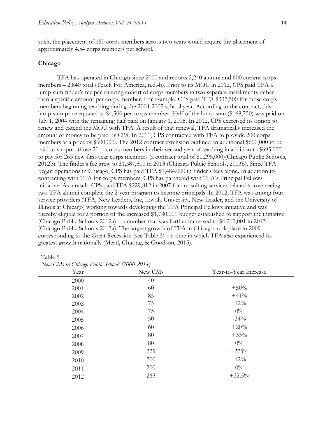such, the placement of 150 corps members across two years would require the placement of approximately 4.54 corps members per school.

#### **Chicago**

TFA has operated in Chicago since 2000 and reports 2,240 alumni and 600 current corps members – 2,840 total (Teach For America, n.d.-b). Prior to its MOU in 2012, CPS paid TFA a lump-sum finder's fee per entering cohort of corps members in two separate installments rather than a specific amount per corps member. For example, CPS paid TFA \$337,500 for those corps members beginning teaching during the 2004-2005 school year. According to the contract, this lump-sum price equated to \$4,500 per corps member. Half of the lump-sum (\$168,750) was paid on July 1, 2004 with the remaining half paid on January 1, 2005. In 2012, CPS exercised its option to renew and extend the MOU with TFA. A result of that renewal, TFA dramatically increased the amount of money to be paid by CPS. In 2011, CPS contracted with TFA to provide 200 corps members at a price of \$600,000. The 2012 contract extension outlined an additional \$600,000 to be paid to support those 2011 corps members in their second year of teaching in addition to \$695,000 to pay for 265 new first-year corps members (a contract total of \$1,295,000)(Chicago Public Schools, 2012b). The finder's fee grew to \$1,587,500 in 2013 (Chicago Public Schools, 2013b). Since TFA began operations in Chicago, CPS has paid TFA \$7,484,000 in finder's fees alone. In addition to contracting with TFA for corps members, CPS has partnered with TFA's Principal Fellows initiative. As a result, CPS paid TFA \$229,812 in 2007 for consulting services related to overseeing two TFA alumni complete the 2-year program to become principals. In 2012, TFA was among four service providers (TFA, New Leaders, Inc, Loyola University, New Leader, and the University of Illinois at Chicago) working towards developing the TFA Principal Fellows initiative and was thereby eligible for a portion of the increased \$1,730,001 budget established to support the initiative (Chicago Public Schools  $2012a$ ) – a number that was further increased to \$4,215,001 in 2013 (Chicago Public Schools 2013a). The largest growth of TFA in Chicago took place in 2009 corresponding to the Great Recession (see Table 5) – a time in which TFA also experienced its greatest growth nationally (Mead, Chuong, & Goodson, 2015).

Table 5

| . .<br>Year | New CMs | Year-to-Year Increase |
|-------------|---------|-----------------------|
| 2000        | 40      |                       |
| 2001        | 60      | $+50%$                |
| 2002        | 85      | $+41%$                |
| 2003        | 75      | $-12\%$               |
| 2004        | 75      | $0\%$                 |
| 2005        | 50      | $-34\%$               |
| 2006        | 60      | $+20%$                |
| 2007        | 80      | $+33%$                |
| 2008        | 80      | $0\%$                 |
| 2009        | 225     | $+275%$               |
| 2010        | 200     | $-12%$                |
| 2011        | 200     | $0\%$                 |
| 2012        | 265     | $+32.5%$              |

*New CMs in Chicago Public Schools (2000-2014)*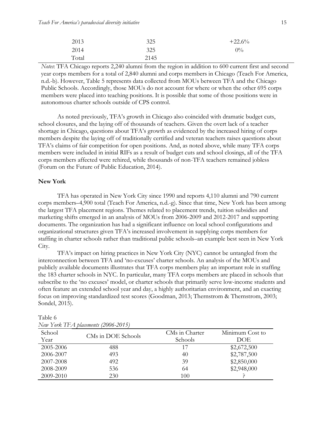| 2013  | 325  | $+22.6%$ |
|-------|------|----------|
| 2014  | 325  | $0\%$    |
| Total | 2145 |          |

*Notes*: TFA Chicago reports 2,240 alumni from the region in addition to 600 current first and second year corps members for a total of 2,840 alumni and corps members in Chicago (Teach For America, n.d.-b). However, Table 5 represents data collected from MOUs between TFA and the Chicago Public Schools. Accordingly, those MOUs do not account for where or when the other 695 corps members were placed into teaching positions. It is possible that some of those positions were in autonomous charter schools outside of CPS control.

As noted previously, TFA's growth in Chicago also coincided with dramatic budget cuts, school closures, and the laying off of thousands of teachers. Given the overt lack of a teacher shortage in Chicago, questions about TFA's growth as evidenced by the increased hiring of corps members despite the laying off of traditionally certified and veteran teachers raises questions about TFA's claims of fair competition for open positions. And, as noted above, while many TFA corps members were included in initial RIFs as a result of budget cuts and school closings, all of the TFA corps members affected were rehired, while thousands of non-TFA teachers remained jobless (Forum on the Future of Public Education, 2014).

#### **New York**

TFA has operated in New York City since 1990 and reports 4,110 alumni and 790 current corps members–4,900 total (Teach For America, n.d.-g). Since that time, New York has been among the largest TFA placement regions. Themes related to placement trends, tuition subsidies and marketing shifts emerged in an analysis of MOUs from 2006-2009 and 2012-2017 and supporting documents. The organization has had a significant influence on local school configurations and organizational structures given TFA's increased involvement in supplying corps members for staffing in charter schools rather than traditional public schools–an example best seen in New York City.

TFA's impact on hiring practices in New York City (NYC) cannot be untangled from the interconnection between TFA and 'no-excuses' charter schools. An analysis of the MOUs and publicly available documents illustrates that TFA corps members play an important role in staffing the 183 charter schools in NYC. In particular, many TFA corps members are placed in schools that subscribe to the 'no excuses' model, or charter schools that primarily serve low-income students and often feature an extended school year and day, a highly authoritarian environment, and an exacting focus on improving standardized test scores (Goodman, 2013; Thernstrom & Thernstrom, 2003; Sondel, 2015).

| School<br>Year | CMs in DOE Schools | CMs in Charter<br><b>Schools</b> | Minimum Cost to<br><b>DOE</b> |
|----------------|--------------------|----------------------------------|-------------------------------|
| 2005-2006      | 488                | 17                               | \$2,672,500                   |
| 2006-2007      | 493                | 40                               | \$2,787,500                   |
| 2007-2008      | 492                | 39                               | \$2,850,000                   |
| 2008-2009      | 536                | 64                               | \$2,948,000                   |
| 2009-2010      | 230                | 100                              |                               |

Table 6 *New York TFA placements (2006-2015)*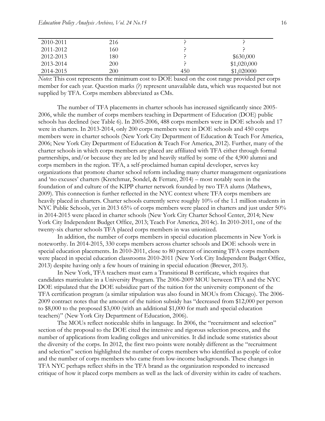| 2010-2011 | 216 |     |             |
|-----------|-----|-----|-------------|
| 2011-2012 | 160 |     |             |
| 2012-2013 | 180 |     | \$630,000   |
| 2013-2014 | 200 |     | \$1,020,000 |
| 2014-2015 | 200 | 450 | \$1,020000  |

*Notes*: This cost represents the minimum cost to DOE based on the cost range provided per corps member for each year. Question marks (?) represent unavailable data, which was requested but not supplied by TFA. Corps members abbreviated as CMs.

The number of TFA placements in charter schools has increased significantly since 2005- 2006, while the number of corps members teaching in Department of Education (DOE) public schools has declined (see Table 6). In 2005-2006, 488 corps members were in DOE schools and 17 were in charters. In 2013-2014, only 200 corps members were in DOE schools and 450 corps members were in charter schools (New York City Department of Education & Teach For America, 2006; New York City Department of Education & Teach For America, 2012). Further, many of the charter schools in which corps members are placed are affiliated with TFA either through formal partnerships, and/or because they are led by and heavily staffed by some of the 4,900 alumni and corps members in the region. TFA, a self-proclaimed human capital developer, serves key organizations that promote charter school reform including many charter management organizations and 'no excuses' charters (Kretchmar, Sondel, & Ferrare, 2014) – most notably seen in the foundation of and culture of the KIPP charter network founded by two TFA alums (Mathews, 2009). This connection is further reflected in the NYC context where TFA corps members are heavily placed in charters. Charter schools currently serve roughly 10% of the 1.1 million students in NYC Public Schools, yet in 2013 65% of corps members were placed in charters and just under 50% in 2014-2015 were placed in charter schools (New York City Charter School Center, 2014; New York City Independent Budget Office, 2013; Teach For America, 2014c). In 2010-2011, one of the twenty-six charter schools TFA placed corps members in was unionized.

In addition, the number of corps members in special education placements in New York is noteworthy. In 2014-2015, 330 corps members across charter schools and DOE schools were in special education placements. In 2010-2011, close to 80 percent of incoming TFA corps members were placed in special education classrooms 2010-2011 (New York City Independent Budget Office, 2013) despite having only a few hours of training in special education (Brewer, 2013).

In New York, TFA teachers must earn a Transitional B certificate, which requires that candidates matriculate in a University Program. The 2006-2009 MOU between TFA and the NYC DOE stipulated that the DOE subsidize part of the tuition for the university component of the TFA certification program (a similar stipulation was also found in MOUs from Chicago). The 2006- 2009 contract notes that the amount of the tuition subsidy has "decreased from \$12,000 per person to \$8,000 to the proposed \$3,000 (with an additional \$1,000 for math and special education teachers)" (New York City Department of Education, 2006).

The MOUs reflect noticeable shifts in language. In 2006, the "recruitment and selection" section of the proposal to the DOE cited the intensive and rigorous selection process, and the number of applications from leading colleges and universities. It did include some statistics about the diversity of the corps. In 2012, the first two points were notably different as the "recruitment and selection" section highlighted the number of corps members who identified as people of color and the number of corps members who came from low-income backgrounds. These changes in TFA NYC perhaps reflect shifts in the TFA brand as the organization responded to increased critique of how it placed corps members as well as the lack of diversity within its cadre of teachers.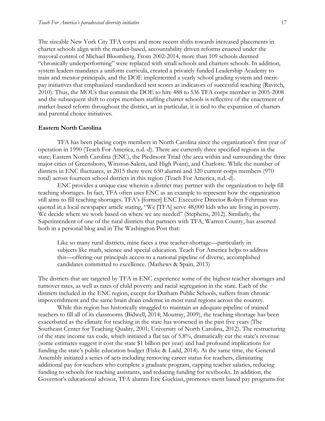The sizeable New York City TFA corps and more recent shifts towards increased placements in charter schools align with the market-based, accountability driven reforms enacted under the mayoral control of Michael Bloomberg. From 2002-2014, more than 109 schools deemed "chronically underperforming" were replaced with small schools and charters schools. In addition, system leaders mandates a uniform curricula, created a privately funded Leadership Academy to train and mentor principals, and the DOE implemented a yearly school grading system and meritpay initiatives that emphasized standardized test scores as indicators of successful teaching (Ravitch, 2010). Thus, the MOUs that commit the DOE to hire 488 to 536 TFA corps member in 2005-2008 and the subsequent shift to corps members staffing charter schools is reflective of the enactment of market-based reform throughout the district, an in particular, it is tied to the expansion of charters and parental choice initiatives.

#### **Eastern North Carolina**

TFA has been placing corps members in North Carolina since the organization's first year of operation in 1990 (Teach For America, n.d.-d). There are currently three specified regions in the state; Eastern North Carolina (ENC), the Piedmont Triad (the area within and surrounding the three major cities of Greensboro, Winston-Salem, and High Point), and Charlotte. While the number of districts in ENC fluctuates, in 2015 there were 650 alumni and 320 current corps members (970 total) across fourteen school districts in this region (Teach For America, n.d.-d).

ENC provides a unique case wherein a district may partner with the organization to help fill teaching shortages. In fact, TFA often uses ENC as an example to represent how the organization still aims to fill teaching shortages. TFA's [former] ENC Executive Director Robyn Fehrman was quoted in a local newspaper article stating, "We [TFA] serve 48,000 kids who are living in poverty. We decide where we work based on where we are needed" (Stephens, 2012). Similarly, the Superintendent of one of the rural districts that partners with TFA, Warren County, has asserted both in a personal blog and in The Washington Post that:

Like so many rural districts, mine faces a true teacher-shortage—particularly in subjects like math, science and special education. Teach For America helps to address this—offering our principals access to a national pipeline of diverse, accomplished candidates committed to excellence. (Mathews & Spain, 2013)

The districts that are targeted by TFA in ENC experience some of the highest teacher shortages and turnover rates, as well as rates of child poverty and racial segregation in the state. Each of the districts included in the ENC region, except for Durham Public Schools, suffers from chronic impoverishment and the same brain drain endemic in most rural regions across the country.

While this region has historically struggled to maintain an adequate pipeline of trained teachers to fill all of its classrooms (Bidwell, 2014; Moutray, 2009), the teaching shortage has been exacerbated as the climate for teaching in the state has worsened in the past five years (The Southeast Center for Teaching Quality, 2001; University of North Carolina, 2012). The restructuring of the state income tax code, which initiated a flat tax of 5.8%, dramatically cut the state's revenue (some estimates suggest it cost the state \$1 billion per year) and had profound implications for funding the state's public education budget (Fiske & Ladd, 2014). At the same time, the General Assembly initiated a series of acts including removing career status for teachers, eliminating additional pay for teachers who complete a graduate program, capping teacher salaries, reducing funding to schools for teaching assistants, and reducing funding for textbooks. In addition, the Governor's educational advisor, TFA alumni Eric Guckian, promotes merit based pay programs for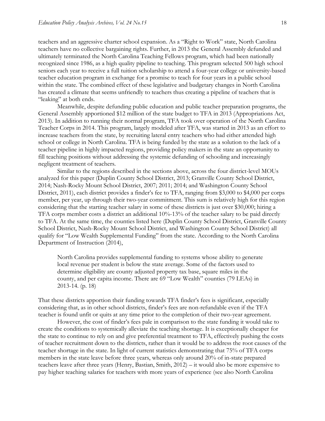teachers and an aggressive charter school expansion. As a "Right to Work" state, North Carolina teachers have no collective bargaining rights. Further, in 2013 the General Assembly defunded and ultimately terminated the North Carolina Teaching Fellows program, which had been nationally recognized since 1986, as a high quality pipeline to teaching. This program selected 500 high school seniors each year to receive a full tuition scholarship to attend a four-year college or university-based teacher education program in exchange for a promise to teach for four years in a public school within the state. The combined effect of these legislative and budgetary changes in North Carolina has created a climate that seems unfriendly to teachers thus creating a pipeline of teachers that is "leaking" at both ends.

Meanwhile, despite defunding public education and public teacher preparation programs, the General Assembly apportioned \$12 million of the state budget to TFA in 2013 (Appropriations Act, 2013). In addition to running their normal program, TFA took over operation of the North Carolina Teacher Corps in 2014. This program, largely modeled after TFA, was started in 2013 as an effort to increase teachers from the state, by recruiting lateral entry teachers who had either attended high school or college in North Carolina. TFA is being funded by the state as a solution to the lack of a teacher pipeline in highly impacted regions, providing policy makers in the state an opportunity to fill teaching positions without addressing the systemic defunding of schooling and increasingly negligent treatment of teachers.

Similar to the regions described in the sections above, across the four district-level MOUs analyzed for this paper (Duplin County School District, 2013; Granville County School District, 2014; Nash-Rocky Mount School District, 2007; 2011; 2014; and Washington County School District, 2011), each district provides a finder's fee to TFA, ranging from \$3,000 to \$4,000 per corps member, per year, up through their two-year commitment. This sum is relatively high for this region considering that the starting teacher salary in some of these districts is just over \$30,000; hiring a TFA corps member costs a district an additional 10%-13% of the teacher salary to be paid directly to TFA. At the same time, the counties listed here (Duplin County School District, Granville County School District, Nash-Rocky Mount School District, and Washington County School District) all qualify for "Low Wealth Supplemental Funding" from the state. According to the North Carolina Department of Instruction (2014),

North Carolina provides supplemental funding to systems whose ability to generate local revenue per student is below the state average. Some of the factors used to determine eligibility are county adjusted property tax base, square miles in the county, and per capita income. There are 69 "Low Wealth" counties (79 LEAs) in 2013-14. (p. 18)

That these districts apportion their funding towards TFA finder's fees is significant, especially considering that, as in other school districts, finder's fees are non-refundable even if the TFA teacher is found unfit or quits at any time prior to the completion of their two-year agreement.

However, the cost of finder's fees pale in comparison to the state funding it would take to create the conditions to systemically alleviate the teaching shortage. It is exceptionally cheaper for the state to continue to rely on and give preferential treatment to TFA, effectively pushing the costs of teacher recruitment down to the districts, rather than it would be to address the root causes of the teacher shortage in the state. In light of current statistics demonstrating that 75% of TFA corps members in the state leave before three years, whereas only around 20% of in-state prepared teachers leave after three years (Henry, Bastian, Smith, 2012) – it would also be more expensive to pay higher teaching salaries for teachers with more years of experience (see also North Carolina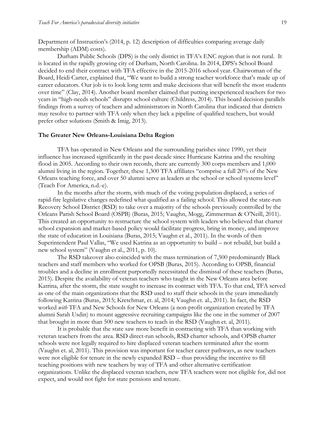Department of Instruction's (2014, p. 12) description of difficulties comparing average daily membership (ADM) costs).

Durham Public Schools (DPS) is the only district in TFA's ENC region that is not rural. It is located in the rapidly growing city of Durham, North Carolina. In 2014, DPS's School Board decided to end their contract with TFA effective in the 2015-2016 school year. Chairwoman of the Board, Heidi Carter, explained that, "We want to build a strong teacher workforce that's made up of career educators. Our job is to look long term and make decisions that will benefit the most students over time" (Clay, 2014). Another board member claimed that putting inexperienced teachers for two years in "high-needs schools" disrupts school culture (Childress, 2014). This board decision parallels findings from a survey of teachers and administrators in North Carolina that indicated that districts may resolve to partner with TFA only when they lack a pipeline of qualified teachers, but would prefer other solutions (Smith & Imig, 2013).

#### **The Greater New Orleans-Louisiana Delta Region**

TFA has operated in New Orleans and the surrounding parishes since 1990, yet their influence has increased significantly in the past decade since Hurricane Katrina and the resulting flood in 2005. According to their own records, there are currently 300 corps members and 1,000 alumni living in the region. Together, these 1,300 TFA affiliates "comprise a full 20% of the New Orleans teaching force, and over 50 alumni serve as leaders at the school or school systems level" (Teach For America, n.d.-e).

In the months after the storm, with much of the voting population displaced, a series of rapid-fire legislative changes redefined what qualified as a failing school. This allowed the state-run Recovery School District (RSD) to take over a majority of the schools previously controlled by the Orleans Parish School Board (OSPB) (Buras, 2015; Vaughn, Mogg, Zimmerman & O'Neill, 2011). This created an opportunity to restructure the school system with leaders who believed that charter school expansion and market-based policy would facilitate progress, bring in money, and improve the state of education in Louisiana (Buras, 2015; Vaughn et al., 2011). In the words of then Superintendent Paul Vallas, "We used Katrina as an opportunity to build – not rebuild, but build a new school system" (Vaughn et al., 2011, p. 10).

The RSD takeover also coincided with the mass termination of 7,500 predominantly Black teachers and staff members who worked for OPSB (Buras, 2015). According to OPSB, financial troubles and a decline in enrollment purportedly necessitated the dismissal of these teachers (Buras, 2015). Despite the availability of veteran teachers who taught in the New Orleans area before Katrina, after the storm, the state sought to increase its contract with TFA. To that end, TFA served as one of the main organizations that the RSD used to staff their schools in the years immediately following Katrina (Buras, 2015; Kretchmar, et. al, 2014; Vaughn et. al., 2011). In fact, the RSD worked *with* TFA and New Schools for New Orleans (a non-profit organization created by TFA alumni Sarah Usdin) to mount aggressive recruiting campaigns like the one in the summer of 2007 that brought in more than 500 new teachers to teach in the RSD (Vaughn et. al, 2011).

It is probable that the state saw more benefit in contracting with TFA than working with veteran teachers from the area. RSD direct-run schools, RSD charter schools, and OPSB charter schools were not legally required to hire displaced veteran teachers terminated after the storm (Vaughn et. al, 2011). This provision was important for teacher career pathways, as new teachers were not eligible for tenure in the newly expanded RSD – thus providing the incentive to fill teaching positions with new teachers by way of TFA and other alternative certification organizations. Unlike the displaced veteran teachers, new TFA teachers were not eligible for, did not expect, and would not fight for state pensions and tenure.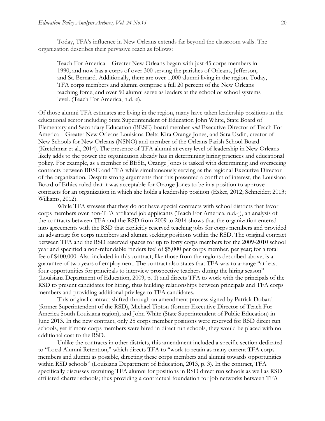Today, TFA's influence in New Orleans extends far beyond the classroom walls. The organization describes their pervasive reach as follows:

Teach For America – Greater New Orleans began with just 45 corps members in 1990, and now has a corps of over 300 serving the parishes of Orleans, Jefferson, and St. Bernard. Additionally, there are over 1,000 alumni living in the region. Today, TFA corps members and alumni comprise a full 20 percent of the New Orleans teaching force, and over 50 alumni serve as leaders at the school or school systems level. (Teach For America, n.d.-e).

Of those alumni TFA estimates are living in the region, many have taken leadership positions in the educational sector including State Superintendent of Education John White, State Board of Elementary and Secondary Education (BESE) board member *and* Executive Director of Teach For America – Greater New Orleans Louisiana Delta Kira Orange Jones, and Sara Usdin, creator of New Schools for New Orleans (NSNO) and member of the Orleans Parish School Board (Kretchmar et al., 2014). The presence of TFA alumni at every level of leadership in New Orleans likely adds to the power the organization already has in determining hiring practices and educational policy. For example, as a member of BESE, Orange Jones is tasked with determining and overseeing contracts between BESE and TFA while simultaneously serving as the regional Executive Director of the organization. Despite strong arguments that this presented a conflict of interest, the Louisiana Board of Ethics ruled that it was acceptable for Orange Jones to be in a position to approve contracts for an organization in which she holds a leadership position (Esker, 2012; Schneider; 2013; Williams, 2012).

While TFA stresses that they do not have special contracts with school districts that favor corps members over non-TFA affiliated job applicants (Teach For America, n.d.-j), an analysis of the contracts between TFA and the RSD from 2009 to 2014 shows that the organization entered into agreements with the RSD that explicitly reserved teaching jobs for corps members and provided an advantage for corps members and alumni seeking positions within the RSD. The original contract between TFA and the RSD reserved spaces for up to forty corps members for the 2009-2010 school year and specified a non-refundable 'finders fee' of \$5,000 per corps member, per year; for a total fee of \$400,000. Also included in this contract, like those from the regions described above, is a guarantee of two years of employment. The contract also states that TFA was to arrange "at least four opportunities for principals to interview prospective teachers during the hiring season" (Louisiana Department of Education, 2009, p. 1) and directs TFA to work with the principals of the RSD to present candidates for hiring, thus building relationships between principals and TFA corps members and providing additional privilege to TFA candidates.

This original contract shifted through an amendment process signed by Patrick Dobard (former Superintendent of the RSD), Michael Tipton (former Executive Director of Teach For America South Louisiana region), and John White (State Superintendent of Public Education) in June 2013. In the new contract, only 25 corps member positions were reserved for RSD direct run schools, yet if more corps members were hired in direct run schools, they would be placed with no additional cost to the RSD.

Unlike the contracts in other districts, this amendment included a specific section dedicated to "Local Alumni Retention," which directs TFA to "work to retain as many current TFA corps members and alumni as possible, directing these corps members and alumni towards opportunities within RSD schools" (Louisiana Department of Education, 2013, p. 3). In the contract, TFA specifically discusses recruiting TFA alumni for positions in RSD direct run schools as well as RSD affiliated charter schools; thus providing a contractual foundation for job networks between TFA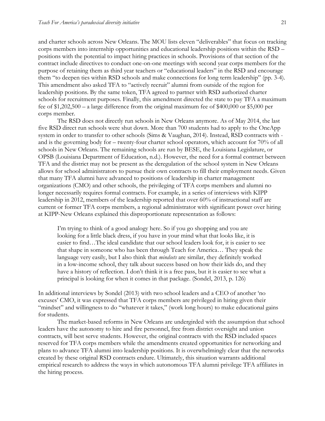and charter schools across New Orleans. The MOU lists eleven "deliverables" that focus on tracking corps members into internship opportunities and educational leadership positions within the RSD – positions with the potential to impact hiring practices in schools. Provisions of that section of the contract include directives to conduct one-on-one meetings with second year corps members for the purpose of retaining them as third year teachers or "educational leaders" in the RSD and encourage them "to deepen ties within RSD schools and make connections for long term leadership" (pp. 3-4). This amendment also asked TFA to "actively recruit" alumni from outside of the region for leadership positions. By the same token, TFA agreed to partner with RSD authorized charter schools for recruitment purposes. Finally, this amendment directed the state to pay TFA a maximum fee of \$1,202,500 – a large difference from the original maximum fee of \$400,000 or \$5,000 per corps member.

The RSD does not directly run schools in New Orleans anymore. As of May 2014, the last five RSD direct run schools were shut down. More than 700 students had to apply to the OneApp system in order to transfer to other schools (Sims & Vaughan, 2014). Instead, RSD contracts with and is the governing body for – twenty-four charter school operators, which account for 70% of all schools in New Orleans. The remaining schools are run by BESE, the Louisiana Legislature, or OPSB (Louisiana Department of Education, n.d.). However, the need for a formal contract between TFA and the district may not be present as the deregulation of the school system in New Orleans allows for school administrators to pursue their own contracts to fill their employment needs. Given that many TFA alumni have advanced to positions of leadership in charter management organizations (CMO) and other schools, the privileging of TFA corps members and alumni no longer necessarily requires formal contracts. For example, in a series of interviews with KIPP leadership in 2012, members of the leadership reported that over 60% of instructional staff are current or former TFA corps members, a regional administrator with significant power over hiring at KIPP-New Orleans explained this disproportionate representation as follows:

I'm trying to think of a good analogy here. So if you go shopping and you are looking for a little black dress, if you have in your mind what that looks like, it is easier to find…The ideal candidate that our school leaders look for, it is easier to see that shape in someone who has been through Teach for America… They speak the language very easily, but I also think that *mindsets* are similar, they definitely worked in a low-income school, they talk about success based on how their kids do, and they have a history of reflection. I don't think it is a free pass, but it is easier to see what a principal is looking for when it comes in that package. (Sondel, 2013, p. 126)

In additional interviews by Sondel (2013) with two school leaders and a CEO of another 'no excuses' CMO, it was expressed that TFA corps members are privileged in hiring given their "mindset" and willingness to do "whatever it takes," (work long hours) to make educational gains for students.

The market-based reforms in New Orleans are undergirded with the assumption that school leaders have the autonomy to hire and fire personnel, free from district oversight and union contracts, will best serve students. However, the original contracts with the RSD included spaces reserved for TFA corps members while the amendments created opportunities for networking and plans to advance TFA alumni into leadership positions. It is overwhelmingly clear that the networks created by these original RSD contracts endure. Ultimately, this situation warrants additional empirical research to address the ways in which autonomous TFA alumni privilege TFA affiliates in the hiring process.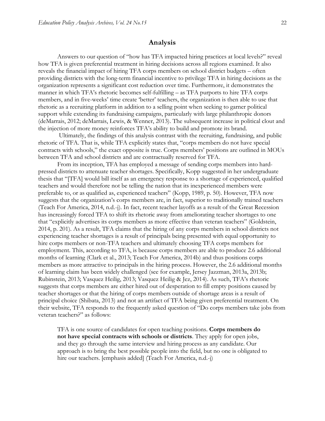### **Analysis**

Answers to our question of "how has TFA impacted hiring practices at local levels?" reveal how TFA is given preferential treatment in hiring decisions across all regions examined. It also reveals the financial impact of hiring TFA corps members on school district budgets – often providing districts with the long-term financial incentive to privilege TFA in hiring decisions as the organization represents a significant cost reduction over time. Furthermore, it demonstrates the manner in which TFA's rhetoric becomes self-fulfilling – as TFA purports to hire TFA corps members, and in five-weeks' time create 'better' teachers, the organization is then able to use that rhetoric as a recruiting platform in addition to a selling point when seeking to garner political support while extending its fundraising campaigns, particularly with large philanthropic donors (deMarrais, 2012; deMarrais, Lewis, & Wenner, 2013). The subsequent increase in political clout and the injection of more money reinforces TFA's ability to build and promote its brand.

Ultimately, the findings of this analysis contrast with the recruiting, fundraising, and public rhetoric of TFA. That is, while TFA explicitly states that, "corps members do not have special contracts with schools," the exact opposite is true. Corps members' positions are outlined in MOUs between TFA and school districts and are contractually reserved for TFA.

From its inception, TFA has employed a message of sending corps members into hardpressed districts to attenuate teacher shortages. Specifically, Kopp suggested in her undergraduate thesis that "[TFA] would bill itself as an emergency response to a shortage of experienced, qualified teachers and would therefore not be telling the nation that its inexperienced members were preferable to, or as qualified as, experienced teachers" (Kopp, 1989, p. 50). However, TFA now suggests that the organization's corps members are, in fact, superior to traditionally trained teachers (Teach For America, 2014, n.d.-j). In fact, recent teacher layoffs as a result of the Great Recession has increasingly forced TFA to shift its rhetoric away from ameliorating teacher shortages to one that "explicitly advertises its corps members as more effective than veteran teachers" (Goldstein, 2014, p. 201). As a result, TFA claims that the hiring of any corps members in school districts not experiencing teacher shortages is a result of principals being presented with equal opportunity to hire corps members or non-TFA teachers and ultimately choosing TFA corps members for employment. This, according to TFA, is because corps members are able to produce 2.6 additional months of learning (Clark et al., 2013; Teach For America, 2014b) and thus positions corps members as more attractive to principals in the hiring process. However, the 2.6 additional months of learning claim has been widely challenged (see for example, Jersey Jazzman, 2013a, 2013b; Rubinstein, 2013; Vasquez Heilig, 2013; Vasquez Heilig & Jez, 2014). As such, TFA's rhetoric suggests that corps members are either hired out of desperation to fill empty positions caused by teacher shortages or that the hiring of corps members outside of shortage areas is a result of principal choice (Shibata, 2013) and not an artifact of TFA being given preferential treatment. On their website, TFA responds to the frequently asked question of "Do corps members take jobs from veteran teachers?" as follows:

TFA is one source of candidates for open teaching positions. **Corps members do not have special contracts with schools or districts**. They apply for open jobs, and they go through the same interview and hiring process as any candidate. Our approach is to bring the best possible people into the field, but no one is obligated to hire our teachers. [emphasis added] (Teach For America, n.d.-j)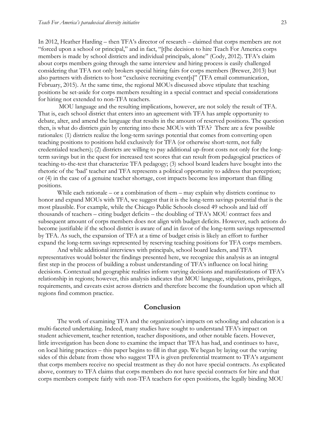In 2012, Heather Harding – then TFA's director of research – claimed that corps members are not "forced upon a school or principal," and in fact, "[t]he decision to hire Teach For America corps members is made by school districts and individual principals, alone" (Cody, 2012). TFA's claim about corps members going through the same interview and hiring process is easily challenged considering that TFA not only brokers special hiring fairs for corps members (Brewer, 2013) but also partners with districts to host "exclusive recruiting event[s]" (TFA email communication, February, 2015). At the same time, the regional MOUs discussed above stipulate that teaching positions be set-aside for corps members resulting in a special contract and special considerations for hiring not extended to non-TFA teachers.

MOU language and the resulting implications, however, are not solely the result of TFA. That is, each school district that enters into an agreement with TFA has ample opportunity to debate, alter, and amend the language that results in the amount of reserved positions. The question then, is what do districts gain by entering into these MOUs with TFA? There are a few possible rationales: (1) districts realize the long-term savings potential that comes from converting open teaching positions to positions held exclusively for TFA (or otherwise short-term, not fully credentialed teachers); (2) districts are willing to pay additional up-front costs not only for the longterm savings but in the quest for increased test scores that can result from pedagogical practices of teaching-to-the-test that characterize TFA pedagogy; (3) school board leaders have bought into the rhetoric of the 'bad' teacher and TFA represents a political opportunity to address that perception; or (4) in the case of a genuine teacher shortage, cost impacts become less important than filling positions.

While each rationale – or a combination of them – may explain why districts continue to honor and expand MOUs with TFA, we suggest that it is the long-term savings potential that is the most plausible. For example, while the Chicago Public Schools closed 49 schools and laid off thousands of teachers – citing budget deficits – the doubling of TFA's MOU contract fees and subsequent amount of corps members does not align with budget deficits. However, such actions do become justifiable if the school district is aware of and in favor of the long-term savings represented by TFA. As such, the expansion of TFA at a time of budget crisis is likely an effort to further expand the long-term savings represented by reserving teaching positions for TFA corps members.

And while additional interviews with principals, school board leaders, and TFA representatives would bolster the findings presented here, we recognize this analysis as an integral first step in the process of building a robust understanding of TFA's influence on local hiring decisions. Contextual and geographic realities inform varying decisions and manifestations of TFA's relationship in regions; however, this analysis indicates that MOU language, stipulations, privileges, requirements, and caveats exist across districts and therefore become the foundation upon which all regions find common practice.

## **Conclusion**

The work of examining TFA and the organization's impacts on schooling and education is a multi-faceted undertaking. Indeed, many studies have sought to understand TFA's impact on student achievement, teacher retention, teacher dispositions, and other notable facets. However, little investigation has been done to examine the impact that TFA has had, and continues to have, on local hiring practices – this paper begins to fill in that gap. We began by laying out the varying sides of this debate from those who suggest TFA is given preferential treatment to TFA's argument that corps members receive no special treatment as they do not have special contracts. As explicated above, contrary to TFA claims that corps members do not have special contracts for hire and that corps members compete fairly with non-TFA teachers for open positions, the legally binding MOU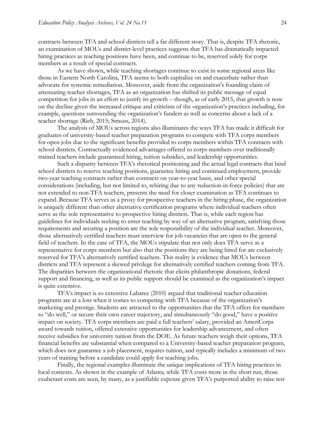contracts between TFA and school districts tell a far different story. That is, despite TFA rhetoric, an examination of MOUs and district-level practices suggests that TFA has dramatically impacted hiring practices as teaching positions have been, and continue to be, reserved solely for corps members as a result of special contracts.

As we have shown, while teaching shortages continue to exist in some regional areas like those in Eastern North Carolina, TFA seems to both capitalize on and exacerbate rather than advocate for systemic remediation. Moreover, aside from the organization's founding claim of attenuating teacher shortages, TFA as an organization has shifted its public message of equal competition for jobs in an effort to justify its growth – though, as of early 2015, that growth is now on the decline given the increased critique and criticism of the organization's practices including, for example, questions surrounding the organization's funders as well as concerns about a lack of a teacher shortage (Rich, 2015; Strauss, 2014).

The analysis of MOUs across regions also illuminates the ways TFA has made it difficult for graduates of university-based teacher preparation programs to compete with TFA corps members for open jobs due to the significant benefits provided to corps members within TFA contracts with school districts. Contractually evidenced advantages offered to corps members over traditionally trained teachers include guaranteed hiring, tuition subsidies, and leadership opportunities.

Such a disparity between TFA's rhetorical positioning and the actual legal contracts that bind school districts to reserve teaching positions, guarantee hiring and continued employment, provide two-year teaching contracts rather than contracts on year-to-year basis, and other special considerations (including, but not limited to, rehiring due to any reduction-in-force policies) that are not extended to non-TFA teachers, presents the need for closer examination as TFA continues to expand. Because TFA serves as a proxy for prospective teachers in the hiring phase, the organization is uniquely different than other alternative certification programs where individual teachers often serve as the sole representative to prospective hiring districts. That is, while each region has guidelines for individuals seeking to enter teaching by way of an alternative program, satisfying those requirements and securing a position are the sole responsibility of the individual teacher. Moreover, those alternatively certified teachers must interview for job vacancies that are open to the general field of teachers. In the case of TFA, the MOUs stipulate that not only does TFA serve as a representative for corps members but also that the positions they are being hired for are exclusively reserved for TFA's alternatively certified teachers. This reality is evidence that MOUs between districts and TFA represent a skewed privilege for alternatively certified teachers coming from TFA. The disparities between the organizational rhetoric that elicits philanthropic donations, federal support and financing, as well as its public support should be examined as the organization's impact is quite extensive.

TFA's impact is so extensive Labaree (2010) argued that traditional teacher education programs are at a loss when it comes to competing with TFA because of the organization's marketing and prestige. Students are attracted to the opportunities that the TFA offers for members to "do well," or secure their own career trajectory, and simultaneously "do good," have a positive impact on society. TFA corps members are paid a full teachers' salary, provided an AmeriCorps award towards tuition, offered extensive opportunities for leadership advancement, and often receive subsidies for university tuition from the DOE. As future teachers weigh their options, TFA financial benefits are substantial when compared to a University-based teacher preparation program, which does not guarantee a job placement, requires tuition, and typically includes a minimum of two years of training before a candidate could apply for teaching jobs.

Finally, the regional examples illuminate the unique implications of TFA hiring practices in local contexts. As shown in the example of Atlanta, while TFA costs more in the short run, those exuberant costs are seen, by many, as a justifiable expense given TFA's purported ability to raise test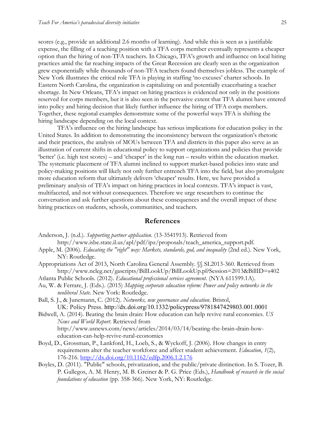scores (e.g., provide an additional 2.6 months of learning). And while this is seen as a justifiable expense, the filling of a teaching position with a TFA corps member eventually represents a cheaper option than the hiring of non-TFA teachers. In Chicago, TFA's growth and influence on local hiring practices amid the far reaching impacts of the Great Recession are clearly seen as the organization grew exponentially while thousands of non-TFA teachers found themselves jobless. The example of New York illustrates the critical role TFA is playing in staffing 'no excuses' charter schools. In Eastern North Carolina, the organization is capitalizing on and potentially exacerbating a teacher shortage. In New Orleans, TFA's impact on hiring practices is evidenced not only in the positions reserved for corps members, but it is also seen in the pervasive extent that TFA alumni have entered into policy and hiring decision that likely further influence the hiring of TFA corps members. Together, these regional examples demonstrate some of the powerful ways TFA is shifting the hiring landscape depending on the local context.

TFA's influence on the hiring landscape has serious implications for education policy in the United States. In addition to demonstrating the inconsistency between the organization's rhetoric and their practices, the analysis of MOUs between TFA and districts in this paper also serve as an illustration of current shifts in educational policy to support organizations and policies that provide 'better' (i.e. high test scores) – and 'cheaper' in the long run – results within the education market. The systematic placement of TFA alumni inclined to support market-based policies into state and policy-making positions will likely not only further entrench TFA into the field, but also promulgate more education reform that ultimately delivers 'cheaper' results. Here, we have provided a preliminary analysis of TFA's impact on hiring practices in local contexts. TFA's impact is vast, multifaceted, and not without consequences. Therefore we urge researchers to continue the conversation and ask further questions about these consequences and the overall impact of these hiring practices on students, schools, communities, and teachers.

#### **References**

- Anderson, J. (n.d.). *Supporting partner application*. (13-3541913). Retrieved from http://www.isbe.state.il.us/apl/pdf/ipz/proposals/teach\_america\_support.pdf.
- Apple, M. (2006). *Educating the "right" way: Markets, standards, god, and inequality* (2nd ed.). New York, NY: Routledge.
- Appropriations Act of 2013, North Carolina General Assembly. §§ SL2013-360. Retrieved from http://www.ncleg.net/gascripts/BillLookUp/BillLookUp.pl?Session=2013&BillID=s402
- Atlanta Public Schools. (2012). *Educational professional services agreement*. (NYA 611599.1A).
- Au, W. & Ferrare, J. (Eds.). (2015) *Mapping corporate education reform: Power and policy networks in the neoliberal State*. New York: Routledge.
- Ball, S. J., & Junemann, C. (2012). *Networks, new governance and education*. Bristol, UK: Policy Press. http://dx.doi.org/10.1332/policypress/9781847429803.001.0001
- Bidwell, A. (2014). Beating the brain drain: How education can help revive rural economies. *US News and World Report*. Retrieved from http://www.usnews.com/news/articles/2014/03/14/beating-the-brain-drain-howeducation-can-help-revive-rural-economies
- Boyd, D., Grossman, P., Lankford, H., Loeb, S., & Wyckoff, J. (2006). How changes in entry requirements alter the teacher workforce and affect student achievement. *Education*, *1*(2), 176-216. <http://dx.doi.org/10.1162/edfp.2006.1.2.176>
- Boyles, D. (2011). "Public" schools, privatization, and the public/private distinction. In S. Tozer, B. P. Gallegos, A. M. Henry, M. B. Greiner & P. G. Price (Eds.), *Handbook of research in the social foundations of education* (pp. 358-366). New York, NY: Routledge.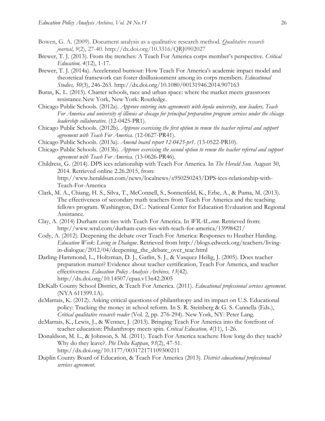- Bowen, G. A. (2009). Document analysis as a qualitative research method. *Qualitative research journal*, *9*(2), 27-40. http://dx.doi.org/10.3316/QRJ0902027
- Brewer, T. J. (2013). From the trenches: A Teach For America corps member's perspective. *Critical Education, 4*(12), 1-17.
- Brewer, T. J. (2014a). Accelerated burnout: How Teach For America's academic impact model and theoretical framework can foster disillusionment among its corps members. *Educational Studies, 50*(3), 246-263. http://dx.doi.org/10.1080/00131946.2014.907163
- Buras, K. L. (2015). Charter schools, race and urban space: where the market meets grassroots resistance.New York, New York: Routledge.
- Chicago Public Schools. (2012a). *Approve entering into agreements with loyola university, new leaders, Teach For America and university of illinois at chicago for principal preparation program services under the chicago leadership collaborative*. (12-0425-PR1).
- Chicago Public Schools. (2012b). *Approve exercising the first option to renew the teacher referral and support agreement with Teach For America*. (12-0627-PR41).
- Chicago Public Schools. (2013a). *Amend board report 12-0425-pr1*. (13-0522-PR10).
- Chicago Public Schools. (2013b). *Approve exercising the second option to renew the teacher referral and support agreement with Teach For America*. (13-0626-PR46).
- Childress, G. (2014). DPS ices relationship with Teach For America. In *The Herald Sun.* August 30, 2014. Retrieved online 2.26.2015, from:

http://www.heraldsun.com/news/localnews/x950250243/DPS-ices-relationship-with-Teach-For-America

- Clark, M. A., Chiang, H. S., Silva, T., McConnell, S., Sonnenfeld, K., Erbe, A., & Puma, M. (2013). The effectiveness of secondary math teachers from Teach For America and the teaching fellows program. Washington, D.C.: National Center for Education Evaluation and Regional Assistance.
- Clay, A. (2014) Durham cuts ties with Teach For America. In *WRAL.com.* Retrieved from: http://www.wral.com/durham-cuts-ties-with-teach-for-america/13998421/
- Cody, A. (2012). Deepening the debate over Teach For America: Responses to Heather Harding. *Education Week: Living in Dialogue*. Retrieved from http://blogs.edweek.org/teachers/livingin-dialogue/2012/04/deepening\_the\_debate\_over\_teac.html
- Darling-Hammond, L., Holtzman, D. J., Gatlin, S. J., & Vasquez Heilig, J. (2005). Does teacher preparation matter? Evidence about teacher certification, Teach For America, and teacher effectiveness. *Education Policy Analysis Archives, 13*(42). http://dx.doi.org/10.14507/epaa.v13n42.2005
- DeKalb County School District, & Teach For America. (2011). *Educational professional services agreement*. (NYA 611599.1A).
- deMarrais, K. (2012). Asking critical questions of philanthropy and its impact on U.S. Educational policy: Tracking the money in school reform. In S. R. Steinberg & G. S. Cannella (Eds.), *Critical qualitative research reader* (Vol. 2, pp. 276-294). New York, NY: Peter Lang.
- deMarrais, K., Lewis, J., & Wenner, J. (2013). Bringing Teach For America into the forefront of teacher education: Philanthropy meets spin. *Critical Education, 4*(11), 1-26.
- Donaldson, M. L., & Johnson, S. M. (2011). Teach For America teachers: How long do they teach? Why do they leave?. *Phi Delta Kappan*, *93*(2), 47-51. http://dx.doi.org/10.1177/003172171109300211
- Duplin County Board of Education, & Teach For America (2013). *District educational professional services agreement.*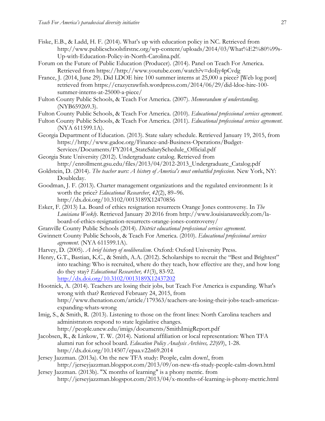- Fiske, E.B., & Ladd, H. F. (2014). What's up with education policy in NC. Retrieved from http://www.publicschoolsfirstnc.org/wp-content/uploads/2014/03/What%E2%80%99s-Up-with-Education-Policy-in-North-Carolina.pdf.
- Forum on the Future of Public Education (Producer). (2014). Panel on Teach For America. Retrieved from https://http://www.youtube.com/watch?v=doIjy4pCvdg
- France, J. (2014, June 29). Did LDOE hire 100 summer interns at 25,000 a piece? [Web log post] retrieved from https://crazycrawfish.wordpress.com/2014/06/29/did-ldoe-hire-100 summer-interns-at-25000-a-piece/
- Fulton County Public Schools, & Teach For America. (2007). *Memorandum of understanding*. (NYB659269.3).
- Fulton County Public Schools, & Teach For America. (2010). *Educational professional services agreement*.
- Fulton County Public Schools, & Teach For America. (2011). *Educational professional services agreement*. (NYA 611599.1A).
- Georgia Department of Education. (2013). State salary schedule. Retrieved January 19, 2015, from https://http://www.gadoe.org/Finance-and-Business-Operations/Budget-Services/Documents/FY2014\_StateSalarySchedule\_Official.pdf
- Georgia State University (2012). Undergraduate catalog. Retrieved from http://enrollment.gsu.edu/files/2013/04/2012-2013\_Undergraduate\_Catalog.pdf
- Goldstein, D. (2014). *The teacher wars: A history of America's most embattled profession*. New York, NY: Doubleday.
- Goodman, J. F. (2013). Charter management organizations and the regulated environment: Is it worth the price? *Educational Researcher*, *42*(2), 89–96. http://dx.doi.org/10.3102/0013189X12470856
- Esker, F. (2013) La. Board of ethics resignation resurrects Orange Jones controversy. In *The Louisiana Weekly*. Retrieved January 20 2016 from http://www.louisianaweekly.com/laboard-of-ethics-resignation-resurrects-orange-jones-controversy/
- Granville County Public Schools (2014). *District educational professional services agreement.*
- Gwinnett County Public Schools, & Teach For America. (2010). *Educational professional services agreement*. (NYA 611599.1A).
- Harvey, D. (2005). *A brief history of neoliberalism*. Oxford: Oxford University Press.
- Henry, G.T., Bastian, K.C., & Smith, A.A. (2012). Scholarships to recruit the "Best and Brightest" into teaching: Who is recruited, where do they teach, how effective are they, and how long do they stay? *Educational Researcher, 41*(3), 83-92. <http://dx.doi.org/10.3102/0013189X12437202>
- Hootnick, A. (2014). Teachers are losing their jobs, but Teach For America is expanding. What's wrong with that? Retrieved February 24, 2015, from http://www.thenation.com/article/179363/teachers-are-losing-their-jobs-teach-americasexpanding-whats-wrong
- Imig, S., & Smith, R. (2013). Listening to those on the front lines: North Carolina teachers and administrators respond to state legislative changes. http://people.uncw.edu/imigs/documents/SmithImigReport.pdf
- Jacobsen, R., & Linkow, T. W. (2014). National affiliation or local representation: When TFA alumni run for school board. *Education Policy Analysis Archives, 22*(69), 1-28. http://dx.doi.org/10.14507/epaa.v22n69.2014
- Jersey Jazzman. (2013a). On the new TFA study: People, calm down!, from http://jerseyjazzman.blogspot.com/2013/09/on-new-tfa-study-people-calm-down.html
- Jersey Jazzman. (2013b). "X months of learning" is a phony metric. from http://jerseyjazzman.blogspot.com/2013/04/x-months-of-learning-is-phony-metric.html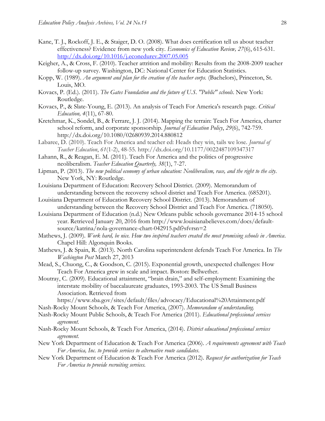- Kane, T. J., Rockoff, J. E., & Staiger, D. O. (2008). What does certification tell us about teacher effectiveness? Evidence from new york city. *Economics of Education Review, 27*(6), 615-631. <http://dx.doi.org/10.1016/j.econedurev.2007.05.005>
- Keigher, A., & Cross, F. (2010). Teacher attrition and mobility: Results from the 2008-2009 teacher follow-up survey. Washington, DC: National Center for Education Statistics.
- Kopp, W. (1989). *An argument and plan for the creation of the teacher corps.* (Bachelors), Princeton, St. Louis, MO.
- Kovacs, P. (Ed.). (2011). *The Gates Foundation and the future of U.S. "Public" schools*. New York: Routledge.
- Kovacs, P., & Slate-Young, E. (2013). An analysis of Teach For America's research page. *Critical Education, 4*(11), 67-80.
- Kretchmar, K., Sondel, B., & Ferrare, J. J. (2014). Mapping the terrain: Teach For America, charter school reform, and corporate sponsorship. *Journal of Education Policy*, *29*(6), 742-759. http://dx.doi.org/10.1080/02680939.2014.880812
- Labaree, D. (2010). Teach For America and teacher ed: Heads they win, tails we lose. *Journal of Teacher Education*, *61*(1-2), 48-55. http://dx.doi.org/10.1177/0022487109347317
- Lahann, R., & Reagan, E. M. (2011). Teach For America and the politics of progressive neoliberalism. *Teacher Education Quarterly, 38*(1), 7-27.
- Lipman, P. (2013). *The new political economy of urban education: Neoliberalism, race, and the right to the city*. New York, NY: Routledge.
- Louisiana Department of Education: Recovery School District. (2009). Memorandum of understanding between the recoversy school district and Teach For America. (685201).
- Louisiana Department of Education Recovery School District. (2013). Memorandum of understanding between the Recovery School District and Teach For America. (718050).
- Louisiana Department of Education (n.d.) New Orleans public schools governance 2014-15 school year. Retrieved January 20, 2016 from http://www.louisianabelieves.com/docs/defaultsource/katrina/nola-governance-chart-042915.pdf?sfvrsn=2
- Mathews, J. (2009). *Work hard, be nice. How two inspired teachers created the most promising schools in America*. Chapel Hill: Algonquin Books.
- Mathews, J. & Spain, R. (2013). North Carolina superintendent defends Teach For America. In *The Washington Post* March 27, 2013
- Mead, S., Chuong, C., & Goodson, C. (2015). Exponential growth, unexpected challenges: How Teach For America grew in scale and impact. Boston: Bellwether.
- Moutray, C. (2009). Educational attainment, "brain drain," and self-employment: Examining the interstate mobility of baccalaureate graduates, 1993-2003. The US Small Business Association. Retrieved from
	- https://www.sba.gov/sites/default/files/advocacy/Educational%20Attainment.pdf
- Nash-Rocky Mount Schools, & Teach For America, (2007). *Memorandum of understanding.*
- Nash-Rocky Mount Public Schools, & Teach For America (2011). *Educational professional services agreement.*
- Nash-Rocky Mount Schools, & Teach For America, (2014). *District educational professional services agreement.*
- New York Department of Education & Teach For America (2006). *A requirements agreement with Teach For America, Inc. to provide services to alternative route candidates*.
- New York Department of Education & Teach For America (2012). *Request for authorization for Teach For America to provide recruiting services.*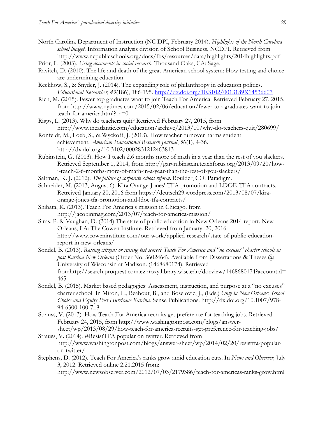- North Carolina Department of Instruction (NC DPI, February 2014). *Highlights of the North Carolina school budget*. Information analysis division of School Business, NCDPI. Retrieved from http://www.ncpublicschools.org/docs/fbs/resources/data/highlights/2014highlights.pdf
- Prior, L. (2003). *Using documents in social research*. Thousand Oaks, CA: Sage.
- Ravitch, D. (2010). The life and death of the great American school system: How testing and choice are undermining education.
- Reckhow, S., & Snyder, J. (2014). The expanding role of philanthropy in education politics. *Educational Researcher, 43*(186), 186-195.<http://dx.doi.org/10.3102/0013189X14536607>
- Rich, M. (2015). Fewer top graduates want to join Teach For America. Retrieved February 27, 2015, from http://www.nytimes.com/2015/02/06/education/fewer-top-graduates-want-to-jointeach-for-america.html?\_r=0
- Riggs, L. (2013). Why do teachers quit? Retrieved February 27, 2015, from http://www.theatlantic.com/education/archive/2013/10/why-do-teachers-quit/280699/
- Ronfeldt, M., Loeb, S., & Wyckoff, J. (2013). How teacher turnover harms student achievement. *American Educational Research Journal*, *50*(1), 4-36. http://dx.doi.org/10.3102/0002831212463813
- Rubinstein, G. (2013). How I teach 2.6 months more of math in a year than the rest of you slackers. Retrieved September 1, 2014, from http://garyrubinstein.teachforus.org/2013/09/20/howi-teach-2-6-months-more-of-math-in-a-year-than-the-rest-of-you-slackers/
- Saltman, K. J. (2012). *The failure of corporate school reform*. Boulder, CO: Paradigm.
- Schneider, M. (2013, August 6). Kira Orange-Jones' TFA promotion and LDOE-TFA contracts. Retreived January 20, 2016 from https://deutsch29.wordpress.com/2013/08/07/kiraorange-jones-tfa-promotion-and-ldoe-tfa-contracts/
- Shibata, K. (2013). Teach For America's mission in Chicago. from http://jacobinmag.com/2013/07/teach-for-america-mission/
- Sims, P. & Vaughan, D. (2014) The state of public education in New Orleans 2014 report. New Orleans, LA: The Cowen Institute. Retrieved from January 20, 2016 http://www.coweninstitute.com/our-work/applied-research/state-of-public-educationreport-in-new-orleans/
- Sondel, B. (2013). *Raising citizens or raising test scores? Teach For America and "no excuses" charter schools in post-Katrina New Orleans* (Order No. 3602464). Available from Dissertations & Theses @ University of Wisconsin at Madison. (1468680174). Retrieved fromhttp://search.proquest.com.ezproxy.library.wisc.edu/docview/1468680174?accountid= 465
- Sondel, B. (2015). Market based pedagogies: Assessment, instruction, and purpose at a "no excuses" charter school. In Miron, L., Beabout, B., and Boselovic, J., (Eds.) *Only in New Orleans: School Choice and Equity Post Hurricane Katrina.* Sense Publications. http://dx.doi.org/10.1007/978- 94-6300-100-7\_8
- Strauss, V. (2013). How Teach For America recruits get preference for teaching jobs. Retrieved February 24, 2015, from http://www.washingtonpost.com/blogs/answersheet/wp/2013/08/29/how-teach-for-america-recruits-get-preference-for-teaching-jobs/
- Strauss, V. (2014). #ResistTFA popular on twitter. Retrieved from http://www.washingtonpost.com/blogs/answer-sheet/wp/2014/02/20/resisttfa-popularon-twitter/
- Stephens, D. (2012). Teach For America's ranks grow amid education cuts. In *News and Observer,* July 3, 2012. Retrieved online 2.21.2015 from:
	- http://www.newsobserver.com/2012/07/03/2179386/teach-for-americas-ranks-grow.html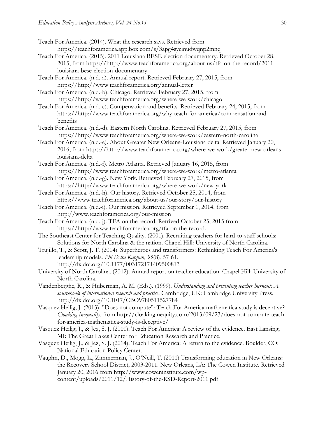- Teach For America. (2014). What the research says. Retrieved from https://teachforamerica.app.box.com/s/3apg4sycinudwqnp2mnq
- Teach For America. (2015). 2011 Louisiana BESE election documentary. Retrieved October 28, 2015, from https://http://www.teachforamerica.org/about-us/tfa-on-the-record/2011 louisiana-bese-election-documentary
- Teach For America. (n.d.-a). Annual report. Retrieved February 27, 2015, from https://http://www.teachforamerica.org/annual-letter
- Teach For America. (n.d.-b). Chicago. Retrieved February 27, 2015, from https://http://www.teachforamerica.org/where-we-work/chicago
- Teach For America. (n.d.-c). Compensation and benefits. Retrieved February 24, 2015, from https://http://www.teachforamerica.org/why-teach-for-america/compensation-andbenefits
- Teach For America. (n.d.-d). Eastern North Carolina. Retrieved February 27, 2015, from https://http://www.teachforamerica.org/where-we-work/eastern-north-carolina
- Teach For America. (n.d.-e). About Greater New Orleans-Louisiana delta. Retrieved January 20, 2016, from https://http://www.teachforamerica.org/where-we-work/greater-new-orleanslouisiana-delta
- Teach For America. (n.d.-f). Metro Atlanta. Retrieved January 16, 2015, from https://http://www.teachforamerica.org/where-we-work/metro-atlanta
- Teach For America. (n.d.-g). New York. Retrieved February 27, 2015, from https://http://www.teachforamerica.org/where-we-work/new-york
- Teach For America. (n.d.-h). Our history. Retrieved October 25, 2014, from https://www.teachforamerica.org/about-us/our-story/our-history
- Teach For America. (n.d.-i). Our mission. Retrieved September 1, 2014, from http://www.teachforamerica.org/our-mission
- Teach For America. (n.d.-j). TFA on the record. Retrived October 25, 2015 from https://http://www.teachforamerica.org/tfa-on-the-record.
- The Southeast Center for Teaching Quality. (2001). Recruiting teachers for hard-to-staff schools: Solutions for North Carolina & the nation. Chapel Hill: University of North Carolina.
- Trujillo, T., & Scott, J. T. (2014). Superheroes and transformers: Rethinking Teach For America's leadership models. *Phi Delta Kappan, 95*(8), 57-61. http://dx.doi.org/10.1177/003172171409500813
- University of North Carolina. (2012). Annual report on teacher education. Chapel Hill: University of North Carolina.
- Vandenberghe, R., & Huberman, A. M. (Eds.). (1999). *Understanding and preventing teacher burnout: A sourcebook of international research and practice*. Cambridge, UK: Cambridge University Press. http://dx.doi.org/10.1017/CBO9780511527784
- Vasquez Heilig, J. (2013). "Does not compute": Teach For America mathematica study is deceptive? *Cloaking Inequality*. from http://cloakinginequity.com/2013/09/23/does-not-compute-teachfor-america-mathematica-study-is-deceptive/
- Vasquez Heilig, J., & Jez, S. J. (2010). Teach For America: A review of the evidence. East Lansing, MI: The Great Lakes Center for Education Research and Practice.
- Vasquez Heilig, J., & Jez, S. J. (2014). Teach For America: A return to the evidence. Boulder, CO: National Education Policy Center.
- Vaughn, D., Mogg, L., Zimmerman, J., O'Neill, T. (2011) Transforming education in New Orleans: the Recovery School District, 2003-2011. New Orleans, LA: The Cowen Institute. Retrieved January 20, 2016 from http://www.coweninstitute.com/wpcontent/uploads/2011/12/History-of-the-RSD-Report-2011.pdf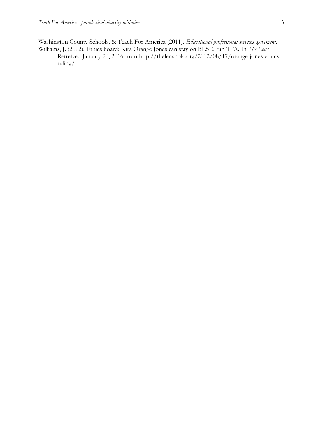Washington County Schools, & Teach For America (2011). *Educational professional services agreement.*  Williams, J. (2012). Ethics board: Kira Orange Jones can stay on BESE, run TFA. In *The Lens* Retreived January 20, 2016 from http://thelensnola.org/2012/08/17/orange-jones-ethicsruling/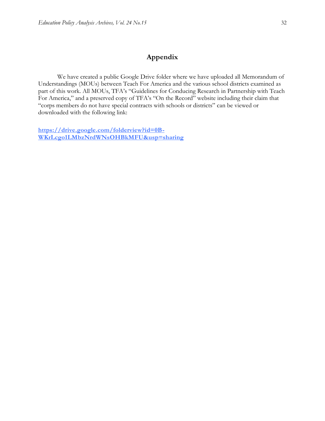## **Appendix**

We have created a public Google Drive folder where we have uploaded all Memorandum of Understandings (MOUs) between Teach For America and the various school districts examined as part of this work. All MOUs, TFA's "Guidelines for Conducing Research in Partnership with Teach For America," and a preserved copy of TFA's "On the Record" website including their claim that "corps members do not have special contracts with schools or districts" can be viewed or downloaded with the following link:

**https://drive.google.com/folderview?id=0B-WKrLcgo1LMbzNrdWNsOHBkMFU&usp=sharing**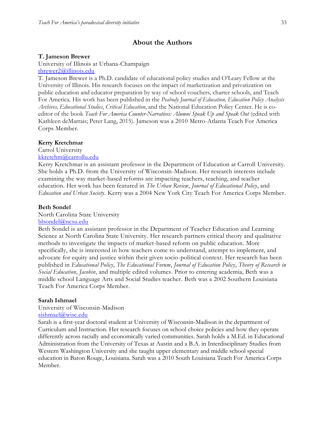## **About the Authors**

#### **T. Jameson Brewer**

University of Illinois at Urbana-Champaign [tbrewer2@illinois.edu](mailto:tbrewer2@illinois.edu)

T. Jameson Brewer is a Ph.D. candidate of educational policy studies and O'Leary Fellow at the University of Illinois. His research focuses on the impact of marketization and privatization on public education and educator preparation by way of school vouchers, charter schools, and Teach For America. His work has been published in the *Peabody Journal of Education, Education Policy Analysis Archives, Educational Studies*, *Critical Education*, and the National Education Policy Center. He is coeditor of the book *Teach For America Counter-Narratives: Alumni Speak Up and Speak Out* (edited with Kathleen deMarrais; Peter Lang, 2015). Jameson was a 2010 Metro-Atlanta Teach For America Corps Member.

#### **Kerry Kretchmar**

Carrol University [kkretchm@carrollu.edu](mailto:kkretchm@carrollu.edu)

Kerry Kretchmar is an assistant professor in the Department of Education at Carroll University. She holds a Ph.D. from the University of Wisconsin-Madison. Her research interests include examining the way market-based reforms are impacting teachers, teaching, and teacher education. Her work has been featured in *The Urban Review*, *Journal of Educational Policy*, and *Education and Urban Society*. Kerry was a 2004 New York City Teach For America Corps Member.

## **Beth Sondel**

#### North Carolina State University

[blsondel@ncsu.edu](mailto:blsondel@ncsu.edu)

Beth Sondel is an assistant professor in the Department of Teacher Education and Learning Science at North Carolina State University. Her research partners critical theory and qualitative methods to investigate the impacts of market-based reform on public education. More specifically, she is interested in how teachers come to understand, attempt to implement, and advocate for equity and justice within their given socio-political context. Her research has been published in *Educational Policy*, *The Educational Forum*, *Journal of Education Policy*, *Theory of Research in Social Education*, *Jacobin*, and multiple edited volumes. Prior to entering academia, Beth was a middle school Language Arts and Social Studies teacher. Beth was a 2002 Southern Louisiana Teach For America Corps Member.

#### **Sarah Ishmael**

## University of Wisconsin-Madison

[sishmael@wisc.edu](mailto:sishmael@wisc.edu)

Sarah is a first-year doctoral student at University of Wisconsin-Madison in the department of Curriculum and Instruction. Her research focuses on school choice policies and how they operate differently across racially and economically varied communities. Sarah holds a M.Ed. in Educational Administration from the University of Texas at Austin and a B.A. in Interdisciplinary Studies from Western Washington University and she taught upper elementary and middle school special education in Baton Rouge, Louisiana. Sarah was a 2010 South Louisiana Teach For America Corps Member.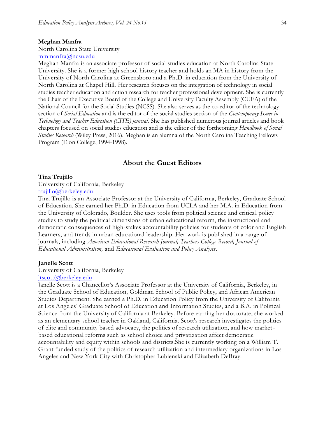#### **Meghan Manfra**

North Carolina State University

[mmmanfra@ncsu.edu](mailto:mmmanfra@ncsu.edu)

Meghan Manfra is an associate professor of social studies education at North Carolina State University. She is a former high school history teacher and holds an MA in history from the University of North Carolina at Greensboro and a Ph.D. in education from the University of North Carolina at Chapel Hill. Her research focuses on the integration of technology in social studies teacher education and action research for teacher professional development. She is currently the Chair of the Executive Board of the College and University Faculty Assembly (CUFA) of the National Council for the Social Studies (NCSS). She also serves as the co-editor of the technology section of *Social Education* and is the editor of the social studies section of the *Contemporary Issues in Technology and Teacher Education (CITE) journal.* She has published numerous journal articles and book chapters focused on social studies education and is the editor of the forthcoming *Handbook of Social Studies Research* (Wiley Press, 2016). Meghan is an alumna of the North Carolina Teaching Fellows Program (Elon College, 1994-1998).

## **About the Guest Editors**

#### **Tina Trujillo**

University of California, Berkeley [trujillo@berkeley.edu](mailto:trujillo@berkeley.edu)

Tina Trujillo is an Associate Professor at the University of California, Berkeley, Graduate School of Education. She earned her Ph.D. in Education from UCLA and her M.A. in Education from the University of Colorado, Boulder. She uses tools from political science and critica l policy studies to study the political dimensions of urban educational reform, the instructional and democratic consequences of high-stakes accountability policies for students of color and English Learners, and trends in urban educational leadership. Her work is published in a range of journals, including *American Educational Research Journal, Teachers College Record, Journal of Educational Administration,* and *Educational Evaluation and Policy Analysis*.

#### **Janelle Scott**

# University of California, Berkeley

[jtscott@berkeley.edu](mailto:jtscott@berkeley.edu) Janelle Scott is a Chancellor's Associate Professor at the University of California, Berkeley, in the Graduate School of Education, Goldman School of Public Policy, and African American Studies Department. She earned a Ph.D. in Education Policy from the University of California at Los Angeles' Graduate School of Education and Information Studies, and a B.A. in Political Science from the University of California at Berkeley. Before earning her doctorate, she worked as an elementary school teacher in Oakland, California. Scott's research investigates the politics of elite and community based advocacy, the politics of research utilization, and how marketbased educational reforms such as school choice and privatization affect democratic accountability and equity within schools and districts.She is currently working on a William T. Grant funded study of the politics of research utilization and intermediary organizations in Los Angeles and New York City with Christopher Lubienski and Elizabeth DeBray.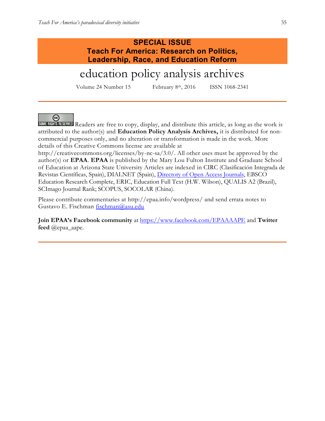## **SPECIAL ISSUE Teach For America: Research on Politics, Leadership, Race, and Education Reform**

# education policy analysis archives

Volume 24 Number 15 February 8th, 2016 ISSN 1068-2341

## ⊛

SOMERIGHTS READERS are free to copy, display, and distribute this article, as long as the work is attributed to the author(s) and **Education Policy Analysis Archives,** it is distributed for noncommercial purposes only, and no alteration or transformation is made in the work. More details of this Creative Commons license are available at

http://creativecommons.org/licenses/by-nc-sa/3.0/. All other uses must be approved by the author(s) or **EPAA**. **EPAA** is published by the Mary Lou Fulton Institute and Graduate School of Education at Arizona State University Articles are indexed in CIRC (Clasificación Integrada de Revistas Científicas, Spain), DIALNET (Spain), [Directory of Open Access Journals,](http://www.doaj.org/) EBSCO Education Research Complete, ERIC, Education Full Text (H.W. Wilson), QUALIS A2 (Brazil), SCImago Journal Rank; SCOPUS, SOCOLAR (China).

Please contribute commentaries at http://epaa.info/wordpress/ and send errata notes to Gustavo E. Fischman [fischman@asu.edu](mailto:fischman@asu.edu)

**Join EPAA's Facebook community** at<https://www.facebook.com/EPAAAAPE> and **Twitter feed** @epaa\_aape.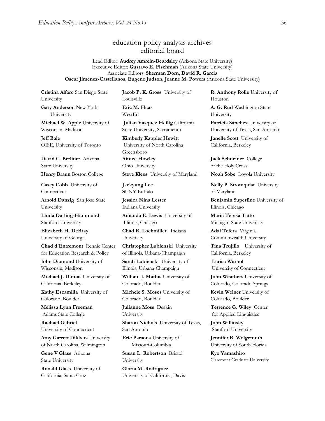## education policy analysis archives editorial board

Lead Editor: **Audrey Amrein-Beardsley** (Arizona State University) Executive Editor: **Gustavo E. Fischman** (Arizona State University) Associate Editors: **Sherman Dorn**, **David R. Garcia Oscar Jimenez-Castellanos**, **Eugene Judson**, **Jeanne M. Powers** (Arizona State University)

**Cristina Alfaro** San Diego State University

**Gary Anderson** New York University

**Michael W. Apple** University of Wisconsin, Madison

**Jeff Bale** OISE, University of Toronto

**David C. Berliner** Arizona State University

**Casey Cobb** University of Connecticut

**Arnold Danzig** San Jose State University

**Linda Darling-Hammond**  Stanford University

**Elizabeth H. DeBray** University of Georgia

**Chad d'Entremont** Rennie Center for Education Research & Policy

**John Diamond** University of Wisconsin, Madison

**Michael J. Dumas** University of California, Berkeley

**Kathy Escamilla** University of Colorado, Boulder

**Melissa Lynn Freeman** Adams State College

**Rachael Gabriel** University of Connecticut

**Amy Garrett Dikkers** University of North Carolina, Wilmington

**Gene V Glass** Arizona State University

**Ronald Glass** University of California, Santa Cruz

**Jacob P. K. Gross** University of Louisville **Eric M. Haas** 

WestEd

**Julian Vasquez Heilig** California State University, Sacramento

**Kimberly Kappler Hewitt** University of North Carolina Greensboro **Aimee Howley** Ohio University

**Henry Braun** Boston College **Steve Klees** University of Maryland **Noah Sobe** Loyola University

**Jaekyung Lee S**UNY Buffalo

**Jessica Nina Lester** Indiana University

**Amanda E. Lewis** University of Illinois, Chicago

**Chad R. Lochmiller** Indiana University

**Christopher Lubienski** University of Illinois, Urbana-Champaign

**Sarah Lubienski** University of Illinois, Urbana-Champaign

**William J. Mathis** University of Colorado, Boulder

**Michele S. Moses** University of Colorado, Boulder

**Julianne Moss** Deakin University

**Sharon Nichols** University of Texas, San Antonio

**Eric Parsons** University of Missouri-Columbia

**Susan L. Robertson** Bristol University

**Gloria M. Rodriguez** University of California, Davis **R. Anthony Rolle** University of Houston

**A. G. Rud** Washington State University

**Patricia Sánchez** University of University of Texas, San Antonio

**Janelle Scott** University of California, Berkeley

**Jack Schneider** College of the Holy Cross

**Nelly P. Stromquist** University of Maryland

**Benjamin Superfine** University of Illinois, Chicago

**Maria Teresa Tatto**  Michigan State University

**Adai Tefera** Virginia Commonwealth University

**Tina Trujillo** University of California, Berkeley

**Larisa Warhol** University of Connecticut

**John Weathers** University of Colorado, Colorado Springs

**Kevin Welner** University of Colorado, Boulder

**Terrence G. Wiley** Center for Applied Linguistics

**John Willinsky**  Stanford University

**Jennifer R. Wolgemuth** University of South Florida

**Kyo Yamashiro**  Claremont Graduate University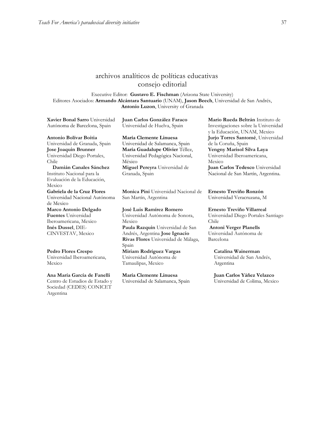## archivos analíticos de políticas educativas consejo editorial

Executive Editor: **Gustavo E. Fischman** (Arizona State University) Editores Asociados: **Armando Alcántara Santuario** (UNAM), **Jason Beech**, Universidad de San Andrés, **Antonio Luzon**, University of Granada

**[Xavier Bonal](javascript:openRTWindow() Sarro** Universidad Autónoma de Barcelona, Spain

**Juan Carlos González Faraco**  Universidad de Huelva, Spain

**[Antonio Bolívar](javascript:openRTWindow() Boitia** Universidad de Granada, Spain **[Jose Joaquin Brunner](javascript:openRTWindow()** Universidad Diego Portales, Chile **[Damián Canales Sánchez](javascript:openRTWindow()**

Instituto Nacional para la Evaluación de la Educación, Mexico **Gabriela de la Cruz Flores** Universidad Nacional Autónoma de Mexico **[Marco Antonio Delgado](javascript:openRTWindow()  [Fuentes](javascript:openRTWindow()** Universidad Iberoamericana, Mexico **[Inés Dussel](javascript:openRTWindow()**, DIE-CINVESTAV, Mexico

**[Pedro Flores Crespo](javascript:openRTWindow()** Universidad Iberoamericana, Mexico

**[Ana María García de Fanelli](javascript:openRTWindow()** Centro de Estudios de Estado y Sociedad (CEDES) CONICET Argentina

**María Clemente Linuesa**  Universidad de Salamanca, Spain **María Guadalupe Olivier** Téllez, Universidad Pedagógica Nacional, México **[Miguel Pereyra](javascript:openRTWindow()** Universidad de Granada, Spain

**[Monica Pini](javascript:openRTWindow()** Universidad Nacional de San Martín, Argentina

**[José Luis Ramírez](javascript:openRTWindow() Romero** Universidad Autónoma de Sonora, Mexico **[Paula Razquin](javascript:openRTWindow()** Universidad de San Andrés, Argentina **[Jose Ignacio](javascript:openRTWindow()  [Rivas Flores](javascript:openRTWindow()** Universidad de Málaga, Spain **[Miriam Rodríguez Vargas](javascript:openRTWindow()** Universidad Autónoma de

Tamaulipas, Mexico

**María Clemente Linuesa**  Universidad de Salamanca, Spain **[Mario Rueda Beltrán](javascript:openRTWindow()** Instituto de Investigaciones sobre la Universidad y la Educación, UNAM, Mexico **[Jurjo Torres Santomé](javascript:openRTWindow()**, Universidad de la Coruña, Spain **[Yengny Marisol Silva Laya](javascript:openRTWindow()** Universidad Iberoamericana, Mexico **Juan Carlos Tedesco** Universidad Nacional de San Martín, Argentina.

**Ernesto Treviño Ronzón** Universidad Veracruzana, M

**[Ernesto Treviño](javascript:openRTWindow() Villarreal** Universidad Diego Portales Santiago Chile **[Antoni Verger Planells](javascript:openRTWindow()**

Universidad Autónoma de Barcelona

> **[Catalina Wainerman](javascript:openRTWindow()** Universidad de San Andrés, Argentina

**Juan Carlos Yáñez Velazco** Universidad de Colima, Mexico